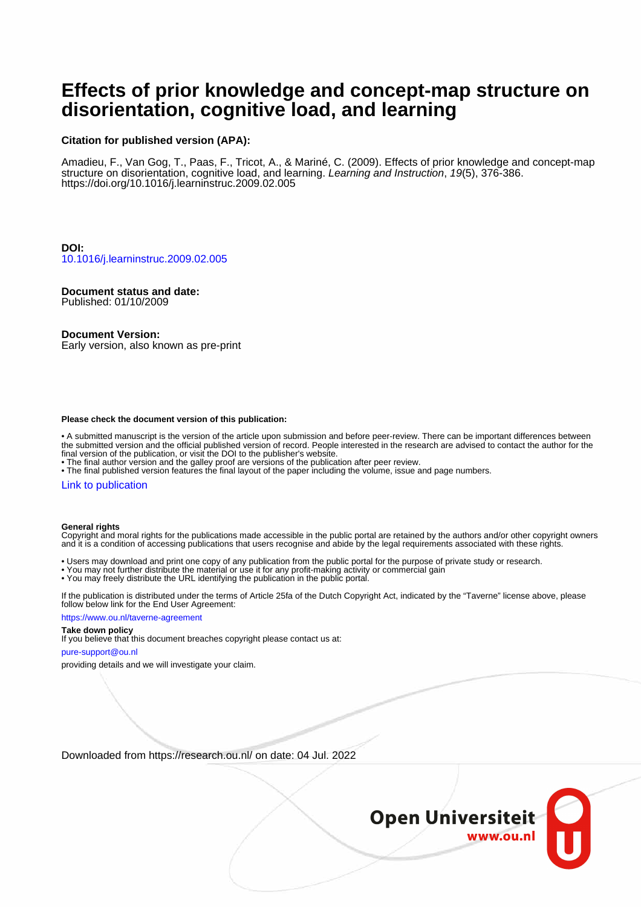# **Effects of prior knowledge and concept-map structure on disorientation, cognitive load, and learning**

#### **Citation for published version (APA):**

Amadieu, F., Van Gog, T., Paas, F., Tricot, A., & Mariné, C. (2009). Effects of prior knowledge and concept-map structure on disorientation, cognitive load, and learning. Learning and Instruction, 19(5), 376-386. <https://doi.org/10.1016/j.learninstruc.2009.02.005>

**DOI:** [10.1016/j.learninstruc.2009.02.005](https://doi.org/10.1016/j.learninstruc.2009.02.005)

#### **Document status and date:**

Published: 01/10/2009

#### **Document Version:**

Early version, also known as pre-print

#### **Please check the document version of this publication:**

• A submitted manuscript is the version of the article upon submission and before peer-review. There can be important differences between the submitted version and the official published version of record. People interested in the research are advised to contact the author for the final version of the publication, or visit the DOI to the publisher's website.

• The final author version and the galley proof are versions of the publication after peer review.

• The final published version features the final layout of the paper including the volume, issue and page numbers.

#### [Link to publication](https://research.ou.nl/en/publications/85ac4e5a-cd9d-49db-ba7d-5ff362ced910)

#### **General rights**

Copyright and moral rights for the publications made accessible in the public portal are retained by the authors and/or other copyright owners and it is a condition of accessing publications that users recognise and abide by the legal requirements associated with these rights.

- Users may download and print one copy of any publication from the public portal for the purpose of private study or research.
- You may not further distribute the material or use it for any profit-making activity or commercial gain
- You may freely distribute the URL identifying the publication in the public portal.

If the publication is distributed under the terms of Article 25fa of the Dutch Copyright Act, indicated by the "Taverne" license above, please follow below link for the End User Agreement:

#### https://www.ou.nl/taverne-agreement

#### **Take down policy**

If you believe that this document breaches copyright please contact us at:

#### pure-support@ou.nl

providing details and we will investigate your claim.

Downloaded from https://research.ou.nl/ on date: 04 Jul. 2022

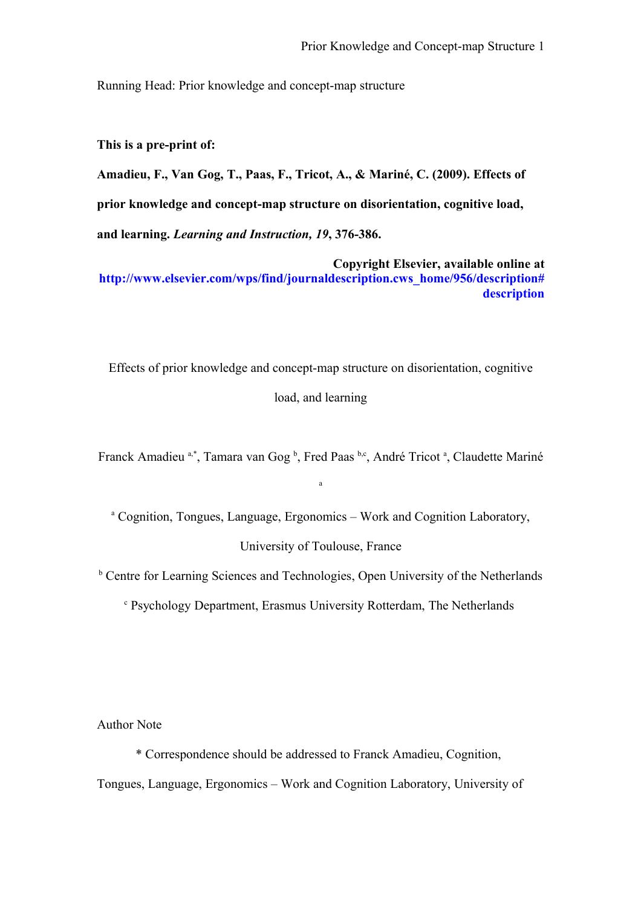Running Head: Prior knowledge and concept-map structure

**This is a pre-print of:** 

**Amadieu, F., Van Gog, T., Paas, F., Tricot, A., & Mariné, C. (2009). Effects of prior knowledge and concept-map structure on disorientation, cognitive load, and learning.** *Learning and Instruction, 19***, 376-386.**

**Copyright Elsevier, available online at http://www.elsevier.com/wps/find/journaldescription.cws\_home/956/description# description**

Effects of prior knowledge and concept-map structure on disorientation, cognitive load, and learning

Franck Amadieu <sup>a,\*</sup>, Tamara van Gog <sup>b</sup>, Fred Paas <sup>b,c</sup>, André Tricot <sup>a</sup>, Claudette Mariné

a

<sup>a</sup> Cognition, Tongues, Language, Ergonomics – Work and Cognition Laboratory,

### University of Toulouse, France

**b** Centre for Learning Sciences and Technologies, Open University of the Netherlands

<sup>c</sup> Psychology Department, Erasmus University Rotterdam, The Netherlands

Author Note

\* Correspondence should be addressed to Franck Amadieu, Cognition, Tongues, Language, Ergonomics – Work and Cognition Laboratory, University of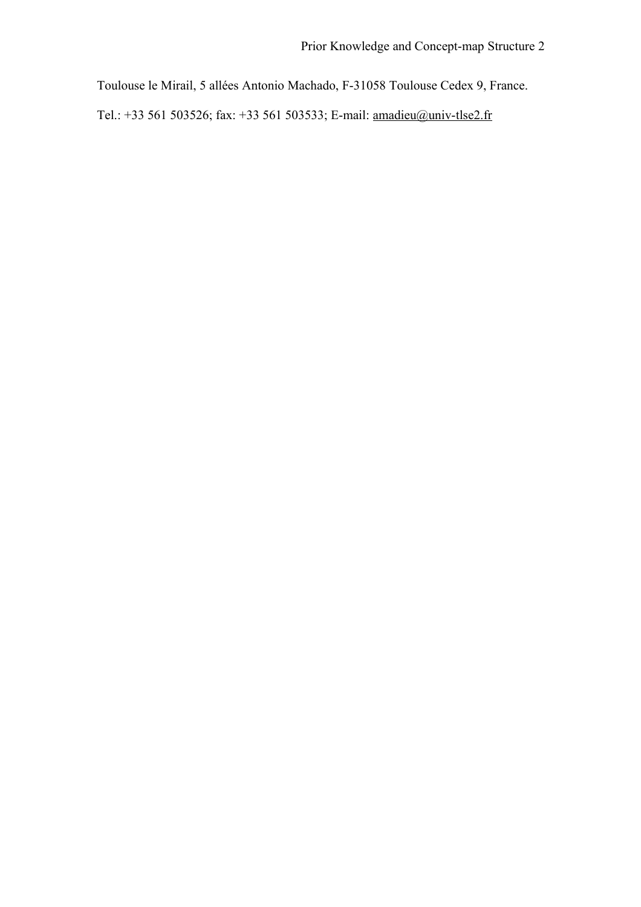Toulouse le Mirail, 5 allées Antonio Machado, F-31058 Toulouse Cedex 9, France.

Tel.: +33 561 503526; fax: +33 561 503533; E-mail: [amadieu@univ-tlse2.fr](mailto:amadieu@univ-tlse2.fr)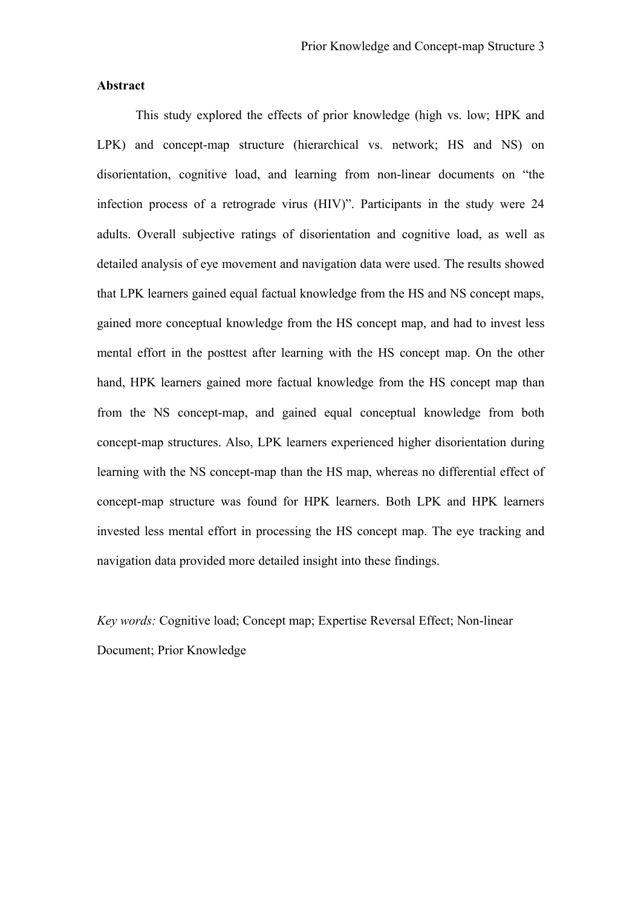# **Abstract**

This study explored the effects of prior knowledge (high vs. low; HPK and LPK) and concept-map structure (hierarchical vs. network; HS and NS) on disorientation, cognitive load, and learning from non-linear documents on "the infection process of a retrograde virus (HIV)". Participants in the study were 24 adults. Overall subjective ratings of disorientation and cognitive load, as well as detailed analysis of eye movement and navigation data were used. The results showed that LPK learners gained equal factual knowledge from the HS and NS concept maps, gained more conceptual knowledge from the HS concept map, and had to invest less mental effort in the posttest after learning with the HS concept map. On the other hand, HPK learners gained more factual knowledge from the HS concept map than from the NS concept-map, and gained equal conceptual knowledge from both concept-map structures. Also, LPK learners experienced higher disorientation during learning with the NS concept-map than the HS map, whereas no differential effect of concept-map structure was found for HPK learners. Both LPK and HPK learners invested less mental effort in processing the HS concept map. The eye tracking and navigation data provided more detailed insight into these findings.

*Key words:* Cognitive load; Concept map; Expertise Reversal Effect; Non-linear Document; Prior Knowledge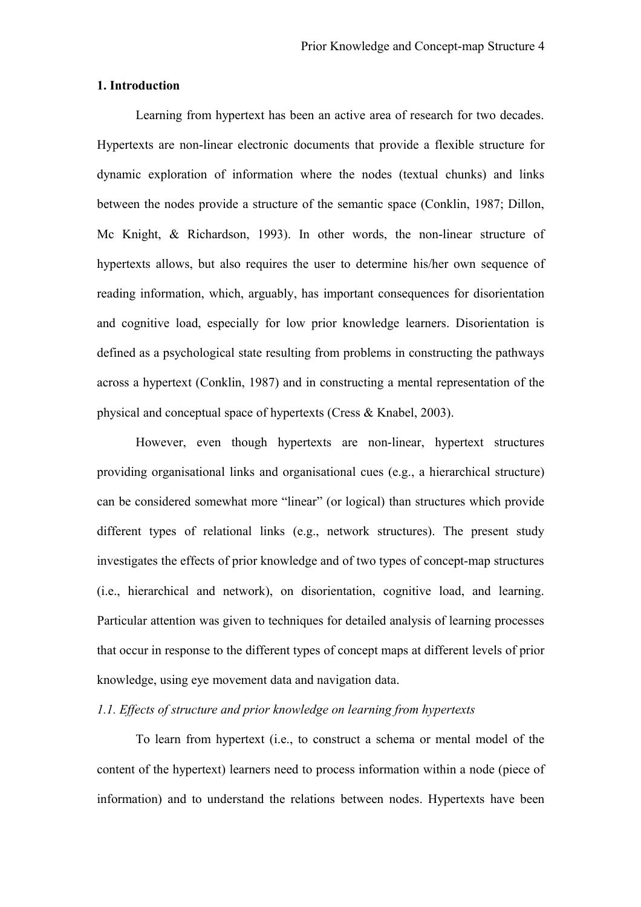# **1. Introduction**

Learning from hypertext has been an active area of research for two decades. Hypertexts are non-linear electronic documents that provide a flexible structure for dynamic exploration of information where the nodes (textual chunks) and links between the nodes provide a structure of the semantic space (Conklin, 1987; Dillon, Mc Knight, & Richardson, 1993). In other words, the non-linear structure of hypertexts allows, but also requires the user to determine his/her own sequence of reading information, which, arguably, has important consequences for disorientation and cognitive load, especially for low prior knowledge learners. Disorientation is defined as a psychological state resulting from problems in constructing the pathways across a hypertext (Conklin, 1987) and in constructing a mental representation of the physical and conceptual space of hypertexts (Cress & Knabel, 2003).

However, even though hypertexts are non-linear, hypertext structures providing organisational links and organisational cues (e.g., a hierarchical structure) can be considered somewhat more "linear" (or logical) than structures which provide different types of relational links (e.g., network structures). The present study investigates the effects of prior knowledge and of two types of concept-map structures (i.e., hierarchical and network), on disorientation, cognitive load, and learning. Particular attention was given to techniques for detailed analysis of learning processes that occur in response to the different types of concept maps at different levels of prior knowledge, using eye movement data and navigation data.

# *1.1. Effects of structure and prior knowledge on learning from hypertexts*

To learn from hypertext (i.e., to construct a schema or mental model of the content of the hypertext) learners need to process information within a node (piece of information) and to understand the relations between nodes. Hypertexts have been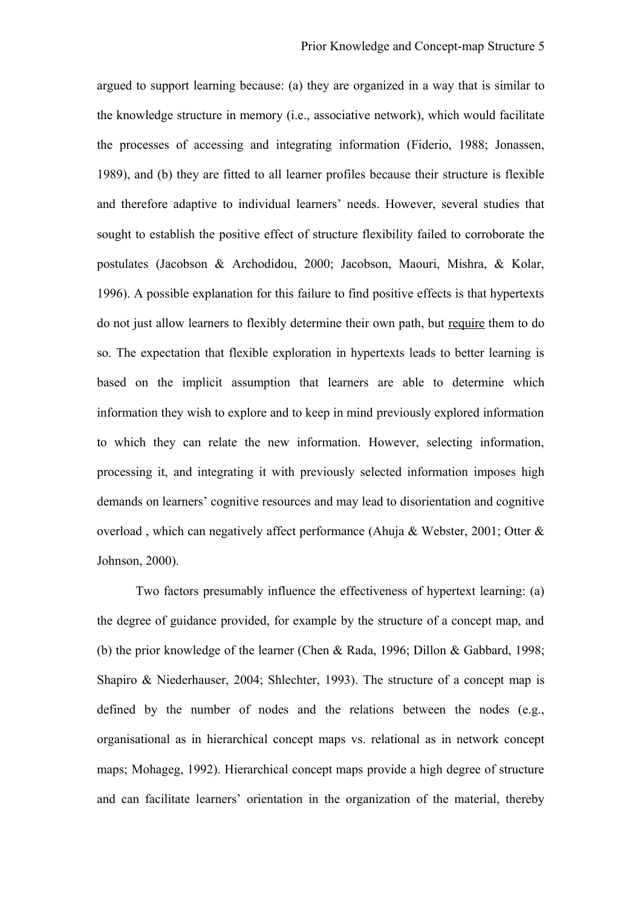argued to support learning because: (a) they are organized in a way that is similar to the knowledge structure in memory (i.e., associative network), which would facilitate the processes of accessing and integrating information (Fiderio, 1988; Jonassen, 1989), and (b) they are fitted to all learner profiles because their structure is flexible and therefore adaptive to individual learners' needs. However, several studies that sought to establish the positive effect of structure flexibility failed to corroborate the postulates (Jacobson & Archodidou, 2000; Jacobson, Maouri, Mishra, & Kolar, 1996). A possible explanation for this failure to find positive effects is that hypertexts do not just allow learners to flexibly determine their own path, but require them to do so. The expectation that flexible exploration in hypertexts leads to better learning is based on the implicit assumption that learners are able to determine which information they wish to explore and to keep in mind previously explored information to which they can relate the new information. However, selecting information, processing it, and integrating it with previously selected information imposes high demands on learners' cognitive resources and may lead to disorientation and cognitive overload , which can negatively affect performance (Ahuja & Webster, 2001; Otter & Johnson, 2000).

Two factors presumably influence the effectiveness of hypertext learning: (a) the degree of guidance provided, for example by the structure of a concept map, and (b) the prior knowledge of the learner (Chen & Rada, 1996; Dillon & Gabbard, 1998; Shapiro & Niederhauser, 2004; Shlechter, 1993). The structure of a concept map is defined by the number of nodes and the relations between the nodes (e.g., organisational as in hierarchical concept maps vs. relational as in network concept maps; Mohageg, 1992). Hierarchical concept maps provide a high degree of structure and can facilitate learners' orientation in the organization of the material, thereby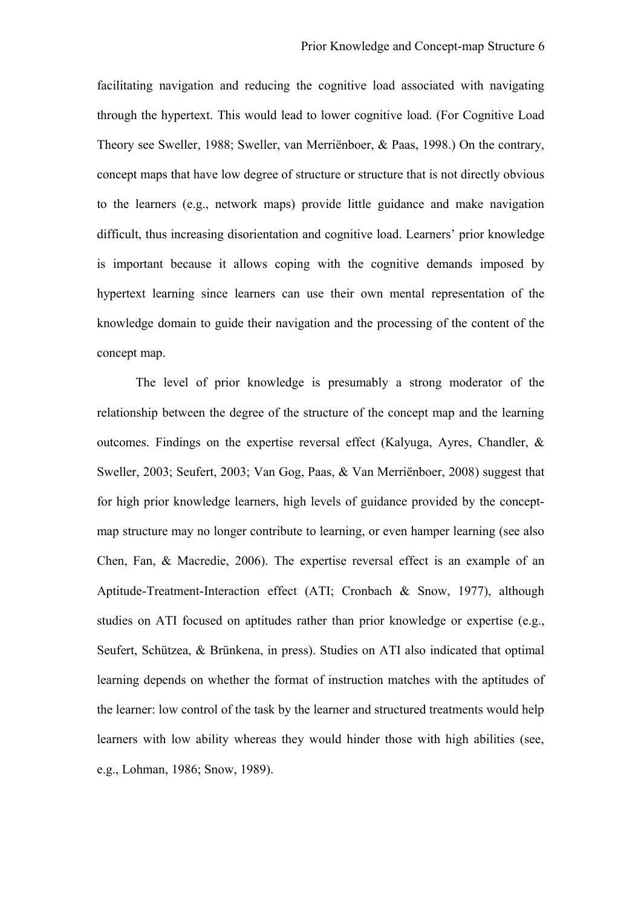facilitating navigation and reducing the cognitive load associated with navigating through the hypertext. This would lead to lower cognitive load. (For Cognitive Load Theory see Sweller, 1988; Sweller, van Merriënboer, & Paas, 1998.) On the contrary, concept maps that have low degree of structure or structure that is not directly obvious to the learners (e.g., network maps) provide little guidance and make navigation difficult, thus increasing disorientation and cognitive load. Learners' prior knowledge is important because it allows coping with the cognitive demands imposed by hypertext learning since learners can use their own mental representation of the knowledge domain to guide their navigation and the processing of the content of the concept map.

The level of prior knowledge is presumably a strong moderator of the relationship between the degree of the structure of the concept map and the learning outcomes. Findings on the expertise reversal effect (Kalyuga, Ayres, Chandler, & Sweller, 2003; Seufert, 2003; Van Gog, Paas, & Van Merriënboer, 2008) suggest that for high prior knowledge learners, high levels of guidance provided by the conceptmap structure may no longer contribute to learning, or even hamper learning (see also Chen, Fan, & Macredie, 2006). The expertise reversal effect is an example of an Aptitude-Treatment-Interaction effect (ATI; Cronbach & Snow, 1977), although studies on ATI focused on aptitudes rather than prior knowledge or expertise (e.g., Seufert, Schützea, & Brünkena, in press). Studies on ATI also indicated that optimal learning depends on whether the format of instruction matches with the aptitudes of the learner: low control of the task by the learner and structured treatments would help learners with low ability whereas they would hinder those with high abilities (see, e.g., Lohman, 1986; Snow, 1989).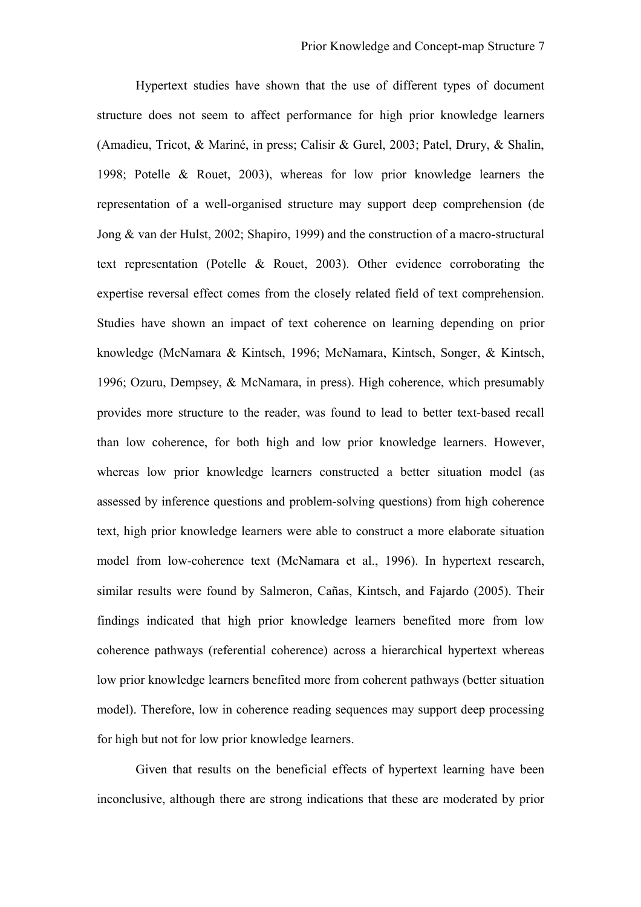Hypertext studies have shown that the use of different types of document structure does not seem to affect performance for high prior knowledge learners (Amadieu, Tricot, & Mariné, in press; Calisir & Gurel, 2003; Patel, Drury, & Shalin, 1998; Potelle & Rouet, 2003), whereas for low prior knowledge learners the representation of a well-organised structure may support deep comprehension (de Jong & van der Hulst, 2002; Shapiro, 1999) and the construction of a macro-structural text representation (Potelle & Rouet, 2003). Other evidence corroborating the expertise reversal effect comes from the closely related field of text comprehension. Studies have shown an impact of text coherence on learning depending on prior knowledge (McNamara & Kintsch, 1996; McNamara, Kintsch, Songer, & Kintsch, 1996; Ozuru, Dempsey, & McNamara, in press). High coherence, which presumably provides more structure to the reader, was found to lead to better text-based recall than low coherence, for both high and low prior knowledge learners. However, whereas low prior knowledge learners constructed a better situation model (as assessed by inference questions and problem-solving questions) from high coherence text, high prior knowledge learners were able to construct a more elaborate situation model from low-coherence text (McNamara et al., 1996). In hypertext research, similar results were found by Salmeron, Cañas, Kintsch, and Fajardo (2005). Their findings indicated that high prior knowledge learners benefited more from low coherence pathways (referential coherence) across a hierarchical hypertext whereas low prior knowledge learners benefited more from coherent pathways (better situation model). Therefore, low in coherence reading sequences may support deep processing for high but not for low prior knowledge learners.

Given that results on the beneficial effects of hypertext learning have been inconclusive, although there are strong indications that these are moderated by prior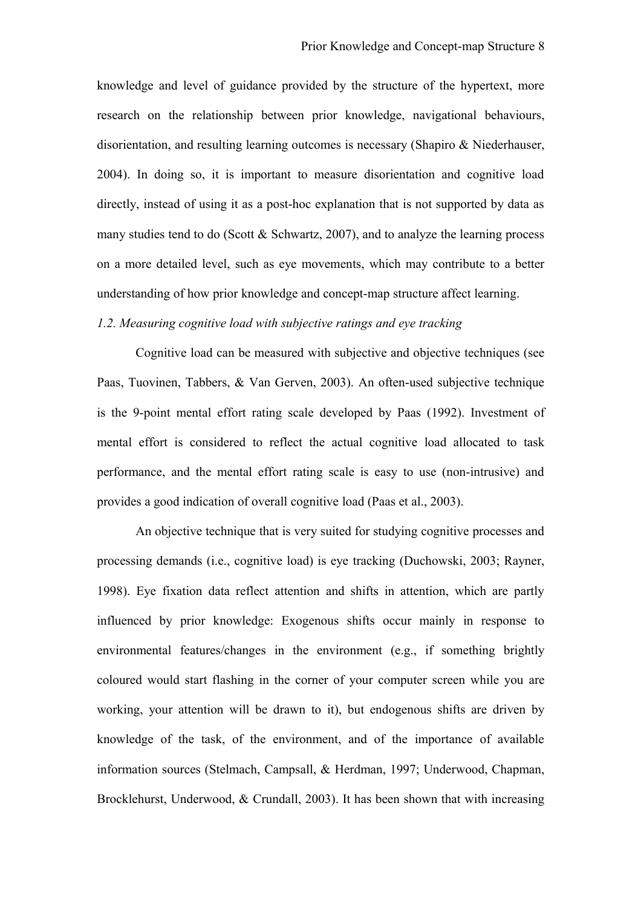knowledge and level of guidance provided by the structure of the hypertext, more research on the relationship between prior knowledge, navigational behaviours, disorientation, and resulting learning outcomes is necessary (Shapiro & Niederhauser, 2004). In doing so, it is important to measure disorientation and cognitive load directly, instead of using it as a post-hoc explanation that is not supported by data as many studies tend to do (Scott  $&$  Schwartz, 2007), and to analyze the learning process on a more detailed level, such as eye movements, which may contribute to a better understanding of how prior knowledge and concept-map structure affect learning.

# *1.2. Measuring cognitive load with subjective ratings and eye tracking*

Cognitive load can be measured with subjective and objective techniques (see Paas, Tuovinen, Tabbers, & Van Gerven, 2003). An often-used subjective technique is the 9-point mental effort rating scale developed by Paas (1992). Investment of mental effort is considered to reflect the actual cognitive load allocated to task performance, and the mental effort rating scale is easy to use (non-intrusive) and provides a good indication of overall cognitive load (Paas et al., 2003).

An objective technique that is very suited for studying cognitive processes and processing demands (i.e., cognitive load) is eye tracking (Duchowski, 2003; Rayner, 1998). Eye fixation data reflect attention and shifts in attention, which are partly influenced by prior knowledge: Exogenous shifts occur mainly in response to environmental features/changes in the environment (e.g., if something brightly coloured would start flashing in the corner of your computer screen while you are working, your attention will be drawn to it), but endogenous shifts are driven by knowledge of the task, of the environment, and of the importance of available information sources (Stelmach, Campsall, & Herdman, 1997; Underwood, Chapman, Brocklehurst, Underwood, & Crundall, 2003). It has been shown that with increasing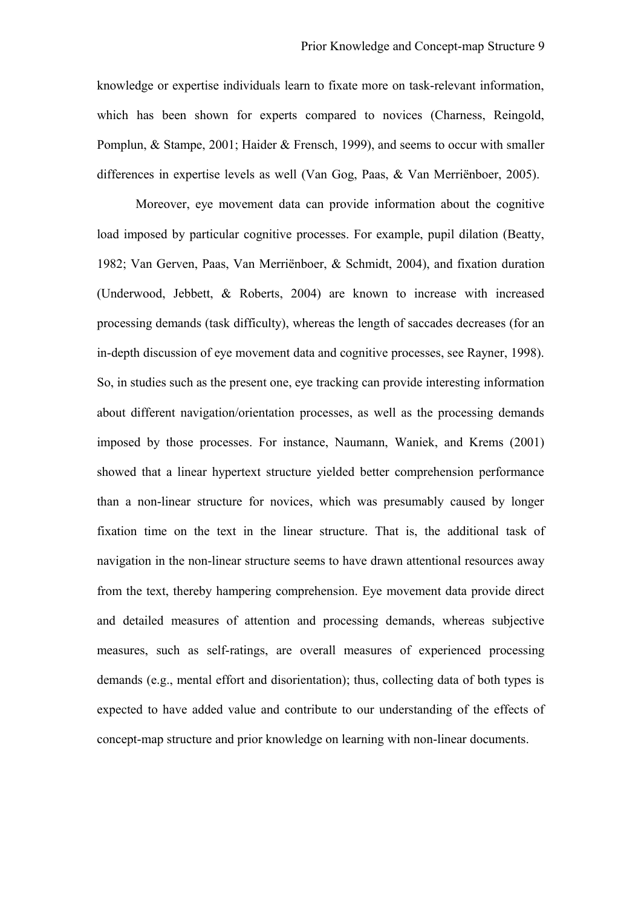knowledge or expertise individuals learn to fixate more on task-relevant information, which has been shown for experts compared to novices (Charness, Reingold, Pomplun, & Stampe, 2001; Haider & Frensch, 1999), and seems to occur with smaller differences in expertise levels as well (Van Gog, Paas, & Van Merriënboer, 2005).

Moreover, eye movement data can provide information about the cognitive load imposed by particular cognitive processes. For example, pupil dilation (Beatty, 1982; Van Gerven, Paas, Van Merriënboer, & Schmidt, 2004), and fixation duration (Underwood, Jebbett, & Roberts, 2004) are known to increase with increased processing demands (task difficulty), whereas the length of saccades decreases (for an in-depth discussion of eye movement data and cognitive processes, see Rayner, 1998). So, in studies such as the present one, eye tracking can provide interesting information about different navigation/orientation processes, as well as the processing demands imposed by those processes. For instance, Naumann, Waniek, and Krems (2001) showed that a linear hypertext structure yielded better comprehension performance than a non-linear structure for novices, which was presumably caused by longer fixation time on the text in the linear structure. That is, the additional task of navigation in the non-linear structure seems to have drawn attentional resources away from the text, thereby hampering comprehension. Eye movement data provide direct and detailed measures of attention and processing demands, whereas subjective measures, such as self-ratings, are overall measures of experienced processing demands (e.g., mental effort and disorientation); thus, collecting data of both types is expected to have added value and contribute to our understanding of the effects of concept-map structure and prior knowledge on learning with non-linear documents.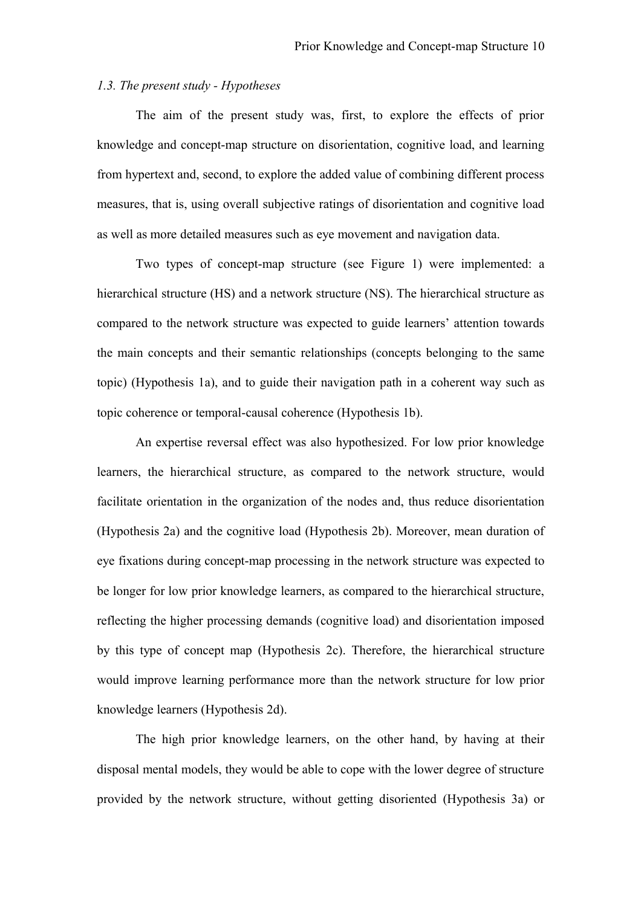# *1.3. The present study - Hypotheses*

The aim of the present study was, first, to explore the effects of prior knowledge and concept-map structure on disorientation, cognitive load, and learning from hypertext and, second, to explore the added value of combining different process measures, that is, using overall subjective ratings of disorientation and cognitive load as well as more detailed measures such as eye movement and navigation data.

Two types of concept-map structure (see Figure 1) were implemented: a hierarchical structure (HS) and a network structure (NS). The hierarchical structure as compared to the network structure was expected to guide learners' attention towards the main concepts and their semantic relationships (concepts belonging to the same topic) (Hypothesis 1a), and to guide their navigation path in a coherent way such as topic coherence or temporal-causal coherence (Hypothesis 1b).

An expertise reversal effect was also hypothesized. For low prior knowledge learners, the hierarchical structure, as compared to the network structure, would facilitate orientation in the organization of the nodes and, thus reduce disorientation (Hypothesis 2a) and the cognitive load (Hypothesis 2b). Moreover, mean duration of eye fixations during concept-map processing in the network structure was expected to be longer for low prior knowledge learners, as compared to the hierarchical structure, reflecting the higher processing demands (cognitive load) and disorientation imposed by this type of concept map (Hypothesis 2c). Therefore, the hierarchical structure would improve learning performance more than the network structure for low prior knowledge learners (Hypothesis 2d).

The high prior knowledge learners, on the other hand, by having at their disposal mental models, they would be able to cope with the lower degree of structure provided by the network structure, without getting disoriented (Hypothesis 3a) or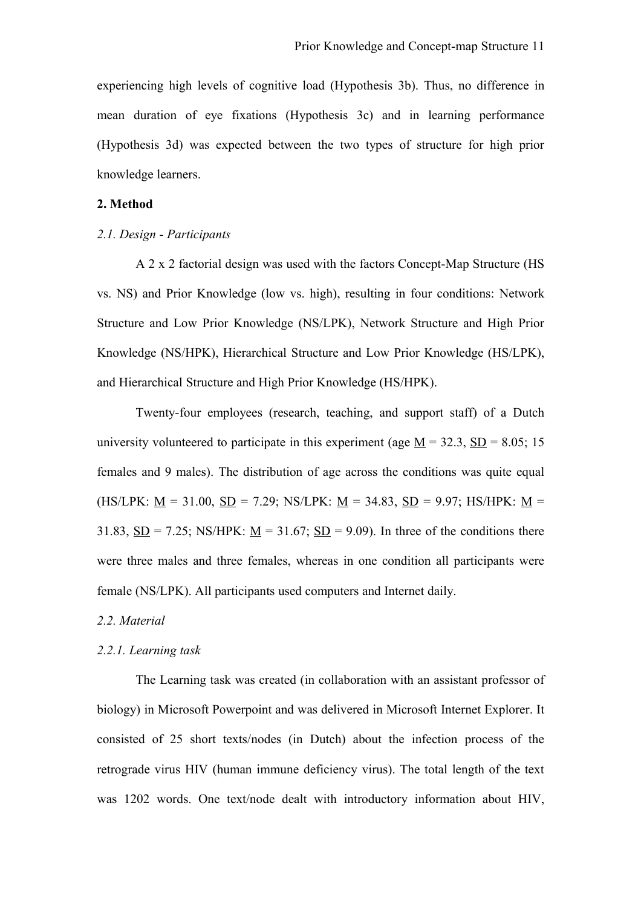experiencing high levels of cognitive load (Hypothesis 3b). Thus, no difference in mean duration of eye fixations (Hypothesis 3c) and in learning performance (Hypothesis 3d) was expected between the two types of structure for high prior knowledge learners.

#### **2. Method**

# *2.1. Design - Participants*

A 2 x 2 factorial design was used with the factors Concept-Map Structure (HS vs. NS) and Prior Knowledge (low vs. high), resulting in four conditions: Network Structure and Low Prior Knowledge (NS/LPK), Network Structure and High Prior Knowledge (NS/HPK), Hierarchical Structure and Low Prior Knowledge (HS/LPK), and Hierarchical Structure and High Prior Knowledge (HS/HPK).

Twenty-four employees (research, teaching, and support staff) of a Dutch university volunteered to participate in this experiment (age  $\underline{M} = 32.3$ ,  $\underline{SD} = 8.05$ ; 15 females and 9 males). The distribution of age across the conditions was quite equal (HS/LPK:  $M = 31.00$ ,  $SD = 7.29$ ; NS/LPK:  $M = 34.83$ ,  $SD = 9.97$ ; HS/HPK:  $M =$ 31.83,  $\underline{SD} = 7.25$ ; NS/HPK:  $\underline{M} = 31.67$ ;  $\underline{SD} = 9.09$ ). In three of the conditions there were three males and three females, whereas in one condition all participants were female (NS/LPK). All participants used computers and Internet daily.

# *2.2. Material*

#### *2.2.1. Learning task*

The Learning task was created (in collaboration with an assistant professor of biology) in Microsoft Powerpoint and was delivered in Microsoft Internet Explorer. It consisted of 25 short texts/nodes (in Dutch) about the infection process of the retrograde virus HIV (human immune deficiency virus). The total length of the text was 1202 words. One text/node dealt with introductory information about HIV,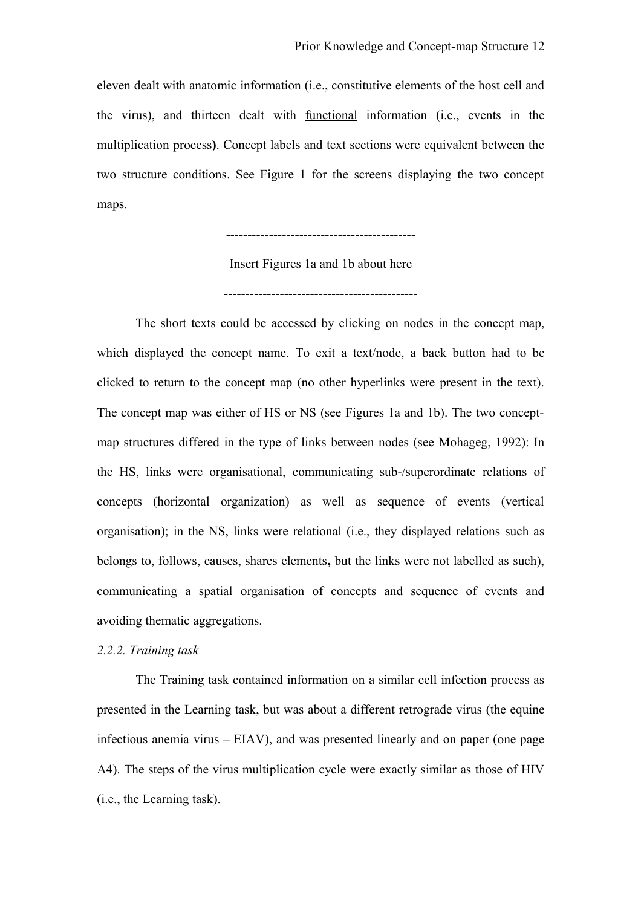eleven dealt with anatomic information (i.e., constitutive elements of the host cell and the virus), and thirteen dealt with functional information (i.e., events in the multiplication process**)**. Concept labels and text sections were equivalent between the two structure conditions. See Figure 1 for the screens displaying the two concept maps.

--------------------------------------------

Insert Figures 1a and 1b about here

---------------------------------------------

The short texts could be accessed by clicking on nodes in the concept map, which displayed the concept name. To exit a text/node, a back button had to be clicked to return to the concept map (no other hyperlinks were present in the text). The concept map was either of HS or NS (see Figures 1a and 1b). The two conceptmap structures differed in the type of links between nodes (see Mohageg, 1992): In the HS, links were organisational, communicating sub-/superordinate relations of concepts (horizontal organization) as well as sequence of events (vertical organisation); in the NS, links were relational (i.e., they displayed relations such as belongs to, follows, causes, shares elements**,** but the links were not labelled as such), communicating a spatial organisation of concepts and sequence of events and avoiding thematic aggregations.

#### *2.2.2. Training task*

The Training task contained information on a similar cell infection process as presented in the Learning task, but was about a different retrograde virus (the equine infectious anemia virus – EIAV), and was presented linearly and on paper (one page A4). The steps of the virus multiplication cycle were exactly similar as those of HIV (i.e., the Learning task).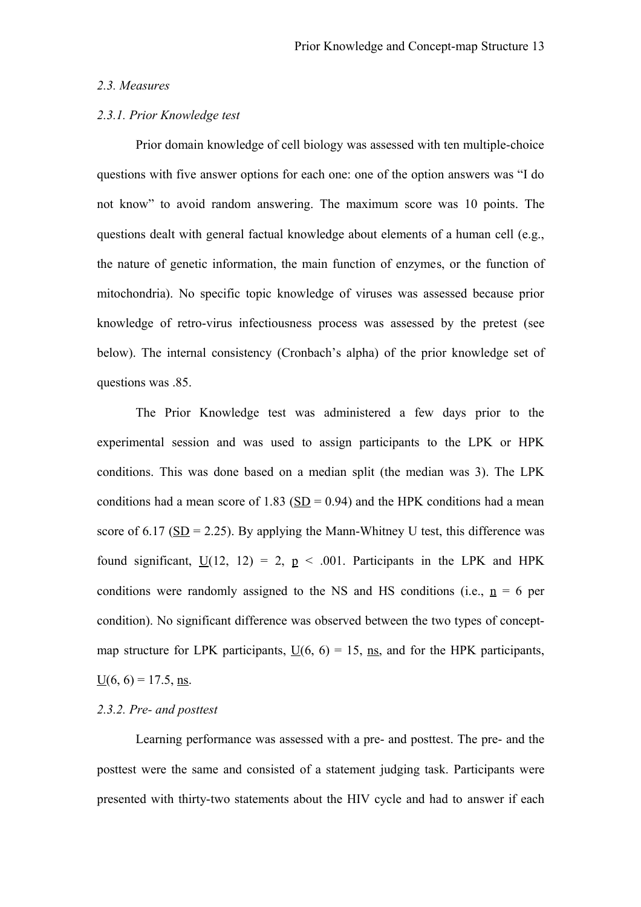### *2.3. Measures*

### *2.3.1. Prior Knowledge test*

Prior domain knowledge of cell biology was assessed with ten multiple-choice questions with five answer options for each one: one of the option answers was "I do not know" to avoid random answering. The maximum score was 10 points. The questions dealt with general factual knowledge about elements of a human cell (e.g., the nature of genetic information, the main function of enzymes, or the function of mitochondria). No specific topic knowledge of viruses was assessed because prior knowledge of retro-virus infectiousness process was assessed by the pretest (see below). The internal consistency (Cronbach's alpha) of the prior knowledge set of questions was .85.

The Prior Knowledge test was administered a few days prior to the experimental session and was used to assign participants to the LPK or HPK conditions. This was done based on a median split (the median was 3). The LPK conditions had a mean score of 1.83 ( $SD = 0.94$ ) and the HPK conditions had a mean score of 6.17 ( $SD = 2.25$ ). By applying the Mann-Whitney U test, this difference was found significant,  $U(12, 12) = 2$ ,  $p < .001$ . Participants in the LPK and HPK conditions were randomly assigned to the NS and HS conditions (i.e.,  $n = 6$  per condition). No significant difference was observed between the two types of conceptmap structure for LPK participants,  $U(6, 6) = 15$ , ns, and for the HPK participants,  $\underline{U}(6, 6) = 17.5$ , ns.

# *2.3.2. Pre- and posttest*

Learning performance was assessed with a pre- and posttest. The pre- and the posttest were the same and consisted of a statement judging task. Participants were presented with thirty-two statements about the HIV cycle and had to answer if each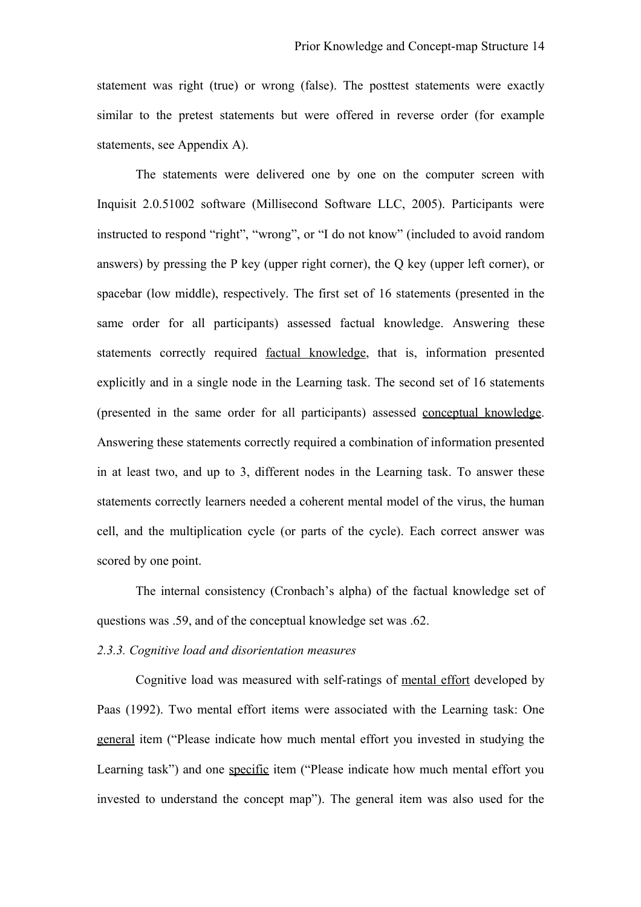statement was right (true) or wrong (false). The posttest statements were exactly similar to the pretest statements but were offered in reverse order (for example statements, see Appendix A).

The statements were delivered one by one on the computer screen with Inquisit 2.0.51002 software (Millisecond Software LLC, 2005). Participants were instructed to respond "right", "wrong", or "I do not know" (included to avoid random answers) by pressing the P key (upper right corner), the Q key (upper left corner), or spacebar (low middle), respectively. The first set of 16 statements (presented in the same order for all participants) assessed factual knowledge. Answering these statements correctly required factual knowledge, that is, information presented explicitly and in a single node in the Learning task. The second set of 16 statements (presented in the same order for all participants) assessed conceptual knowledge. Answering these statements correctly required a combination of information presented in at least two, and up to 3, different nodes in the Learning task. To answer these statements correctly learners needed a coherent mental model of the virus, the human cell, and the multiplication cycle (or parts of the cycle). Each correct answer was scored by one point.

The internal consistency (Cronbach's alpha) of the factual knowledge set of questions was .59, and of the conceptual knowledge set was .62.

#### *2.3.3. Cognitive load and disorientation measures*

Cognitive load was measured with self-ratings of mental effort developed by Paas (1992). Two mental effort items were associated with the Learning task: One general item ("Please indicate how much mental effort you invested in studying the Learning task") and one specific item ("Please indicate how much mental effort you invested to understand the concept map"). The general item was also used for the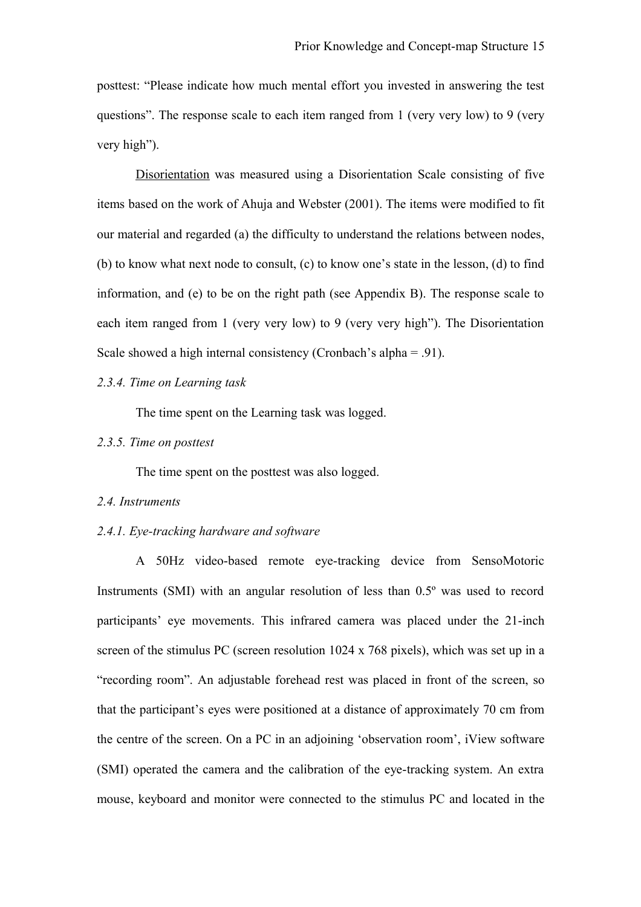posttest: "Please indicate how much mental effort you invested in answering the test questions". The response scale to each item ranged from 1 (very very low) to 9 (very very high").

Disorientation was measured using a Disorientation Scale consisting of five items based on the work of Ahuja and Webster (2001). The items were modified to fit our material and regarded (a) the difficulty to understand the relations between nodes, (b) to know what next node to consult, (c) to know one's state in the lesson, (d) to find information, and (e) to be on the right path (see Appendix B). The response scale to each item ranged from 1 (very very low) to 9 (very very high"). The Disorientation Scale showed a high internal consistency (Cronbach's alpha = .91).

# *2.3.4. Time on Learning task*

The time spent on the Learning task was logged.

# *2.3.5. Time on posttest*

The time spent on the posttest was also logged.

#### *2.4. Instruments*

#### *2.4.1. Eye-tracking hardware and software*

A 50Hz video-based remote eye-tracking device from SensoMotoric Instruments (SMI) with an angular resolution of less than 0.5º was used to record participants' eye movements. This infrared camera was placed under the 21-inch screen of the stimulus PC (screen resolution 1024 x 768 pixels), which was set up in a "recording room". An adjustable forehead rest was placed in front of the screen, so that the participant's eyes were positioned at a distance of approximately 70 cm from the centre of the screen. On a PC in an adjoining 'observation room', iView software (SMI) operated the camera and the calibration of the eye-tracking system. An extra mouse, keyboard and monitor were connected to the stimulus PC and located in the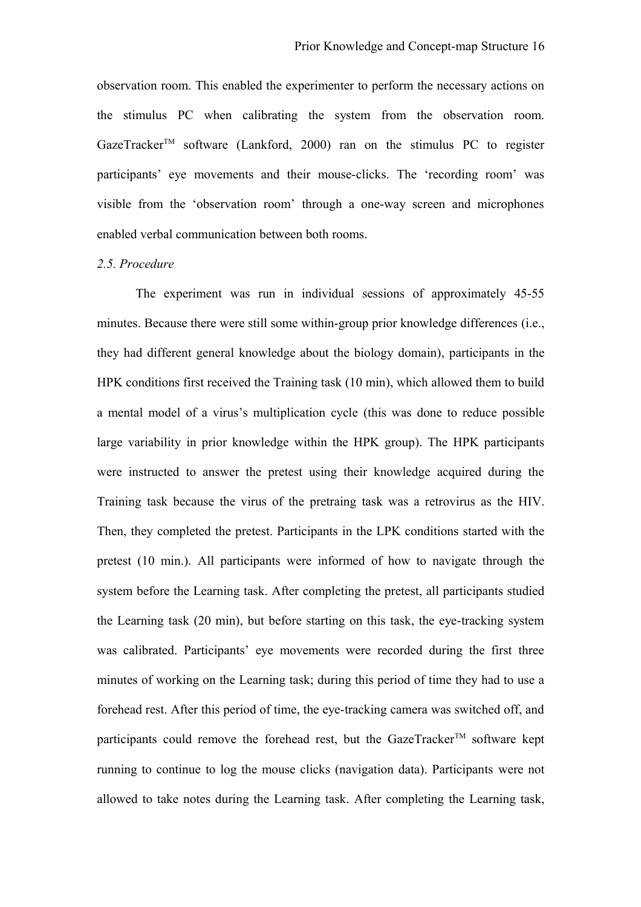observation room. This enabled the experimenter to perform the necessary actions on the stimulus PC when calibrating the system from the observation room. GazeTracker<sup>TM</sup> software (Lankford, 2000) ran on the stimulus PC to register participants' eye movements and their mouse-clicks. The 'recording room' was visible from the 'observation room' through a one-way screen and microphones enabled verbal communication between both rooms.

#### *2.5. Procedure*

The experiment was run in individual sessions of approximately 45-55 minutes. Because there were still some within-group prior knowledge differences (i.e., they had different general knowledge about the biology domain), participants in the HPK conditions first received the Training task (10 min), which allowed them to build a mental model of a virus's multiplication cycle (this was done to reduce possible large variability in prior knowledge within the HPK group). The HPK participants were instructed to answer the pretest using their knowledge acquired during the Training task because the virus of the pretraing task was a retrovirus as the HIV. Then, they completed the pretest. Participants in the LPK conditions started with the pretest (10 min.). All participants were informed of how to navigate through the system before the Learning task. After completing the pretest, all participants studied the Learning task (20 min), but before starting on this task, the eye-tracking system was calibrated. Participants' eye movements were recorded during the first three minutes of working on the Learning task; during this period of time they had to use a forehead rest. After this period of time, the eye-tracking camera was switched off, and participants could remove the forehead rest, but the GazeTracker<sup>TM</sup> software kept running to continue to log the mouse clicks (navigation data). Participants were not allowed to take notes during the Learning task. After completing the Learning task,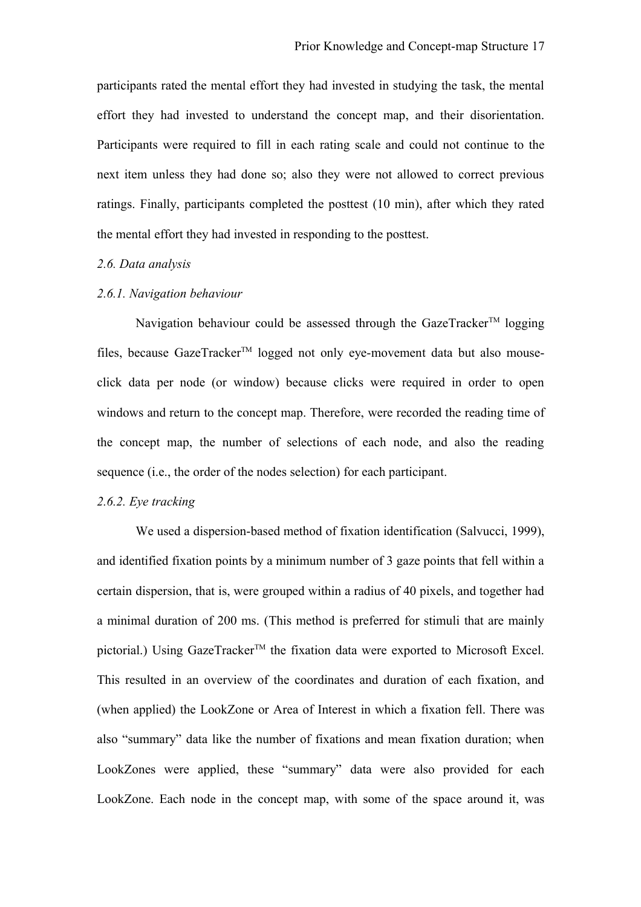participants rated the mental effort they had invested in studying the task, the mental effort they had invested to understand the concept map, and their disorientation. Participants were required to fill in each rating scale and could not continue to the next item unless they had done so; also they were not allowed to correct previous ratings. Finally, participants completed the posttest (10 min), after which they rated the mental effort they had invested in responding to the posttest.

# *2.6. Data analysis*

# *2.6.1. Navigation behaviour*

Navigation behaviour could be assessed through the GazeTracker<sup>TM</sup> logging files, because GazeTracker<sup>TM</sup> logged not only eye-movement data but also mouseclick data per node (or window) because clicks were required in order to open windows and return to the concept map. Therefore, were recorded the reading time of the concept map, the number of selections of each node, and also the reading sequence (i.e., the order of the nodes selection) for each participant.

### *2.6.2. Eye tracking*

We used a dispersion-based method of fixation identification (Salvucci, 1999), and identified fixation points by a minimum number of 3 gaze points that fell within a certain dispersion, that is, were grouped within a radius of 40 pixels, and together had a minimal duration of 200 ms. (This method is preferred for stimuli that are mainly pictorial.) Using GazeTracker<sup>TM</sup> the fixation data were exported to Microsoft Excel. This resulted in an overview of the coordinates and duration of each fixation, and (when applied) the LookZone or Area of Interest in which a fixation fell. There was also "summary" data like the number of fixations and mean fixation duration; when LookZones were applied, these "summary" data were also provided for each LookZone. Each node in the concept map, with some of the space around it, was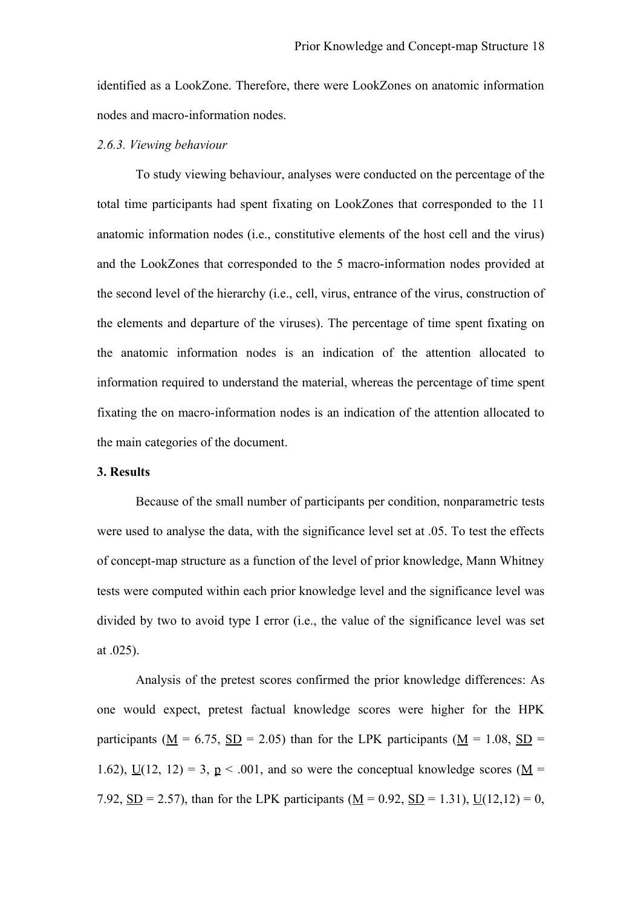identified as a LookZone. Therefore, there were LookZones on anatomic information nodes and macro-information nodes.

### *2.6.3. Viewing behaviour*

To study viewing behaviour, analyses were conducted on the percentage of the total time participants had spent fixating on LookZones that corresponded to the 11 anatomic information nodes (i.e., constitutive elements of the host cell and the virus) and the LookZones that corresponded to the 5 macro-information nodes provided at the second level of the hierarchy (i.e., cell, virus, entrance of the virus, construction of the elements and departure of the viruses). The percentage of time spent fixating on the anatomic information nodes is an indication of the attention allocated to information required to understand the material, whereas the percentage of time spent fixating the on macro-information nodes is an indication of the attention allocated to the main categories of the document.

# **3. Results**

Because of the small number of participants per condition, nonparametric tests were used to analyse the data, with the significance level set at .05. To test the effects of concept-map structure as a function of the level of prior knowledge, Mann Whitney tests were computed within each prior knowledge level and the significance level was divided by two to avoid type I error (i.e., the value of the significance level was set at .025).

Analysis of the pretest scores confirmed the prior knowledge differences: As one would expect, pretest factual knowledge scores were higher for the HPK participants ( $M = 6.75$ ,  $SD = 2.05$ ) than for the LPK participants ( $M = 1.08$ ,  $SD =$ 1.62),  $\underline{U}(12, 12) = 3$ ,  $\underline{p} < .001$ , and so were the conceptual knowledge scores ( $\underline{M} =$ 7.92,  $SD = 2.57$ ), than for the LPK participants (M = 0.92,  $SD = 1.31$ ),  $U(12,12) = 0$ ,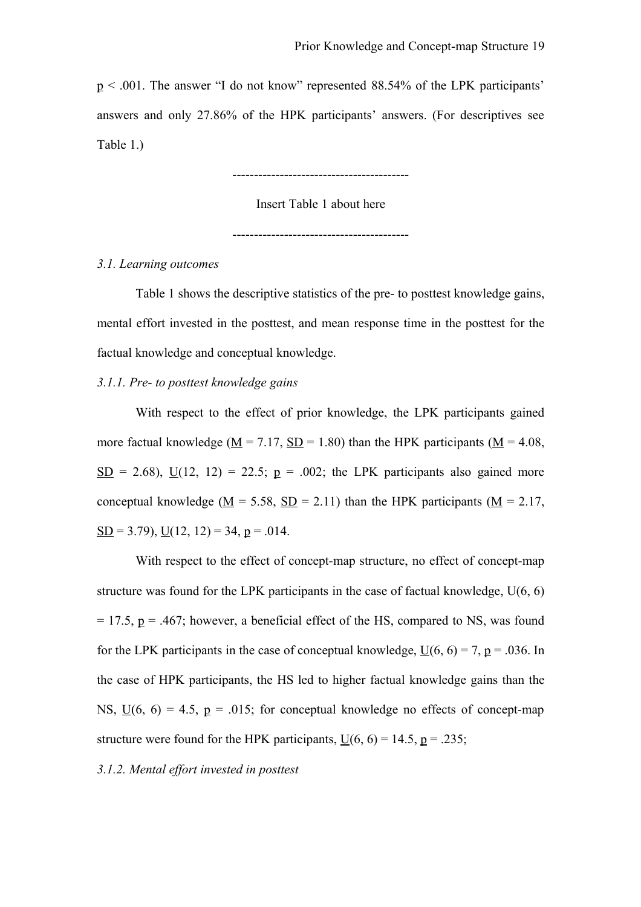p < .001. The answer "I do not know" represented 88.54% of the LPK participants' answers and only 27.86% of the HPK participants' answers. (For descriptives see Table 1.)

-----------------------------------------

Insert Table 1 about here

-----------------------------------------

### *3.1. Learning outcomes*

Table 1 shows the descriptive statistics of the pre- to posttest knowledge gains, mental effort invested in the posttest, and mean response time in the posttest for the factual knowledge and conceptual knowledge.

# *3.1.1. Pre- to posttest knowledge gains*

With respect to the effect of prior knowledge, the LPK participants gained more factual knowledge ( $M = 7.17$ ,  $SD = 1.80$ ) than the HPK participants ( $M = 4.08$ ,  $SD = 2.68$ ),  $U(12, 12) = 22.5$ ;  $p = .002$ ; the LPK participants also gained more conceptual knowledge (M = 5.58, SD = 2.11) than the HPK participants (M = 2.17,  $SD = 3.79$ ,  $U(12, 12) = 34$ ,  $p = .014$ .

With respect to the effect of concept-map structure, no effect of concept-map structure was found for the LPK participants in the case of factual knowledge, U(6, 6)  $= 17.5$ ,  $p = .467$ ; however, a beneficial effect of the HS, compared to NS, was found for the LPK participants in the case of conceptual knowledge,  $U(6, 6) = 7$ , p = .036. In the case of HPK participants, the HS led to higher factual knowledge gains than the NS,  $U(6, 6) = 4.5$ ,  $p = .015$ ; for conceptual knowledge no effects of concept-map structure were found for the HPK participants,  $U(6, 6) = 14.5$ ,  $p = .235$ ;

# *3.1.2. Mental effort invested in posttest*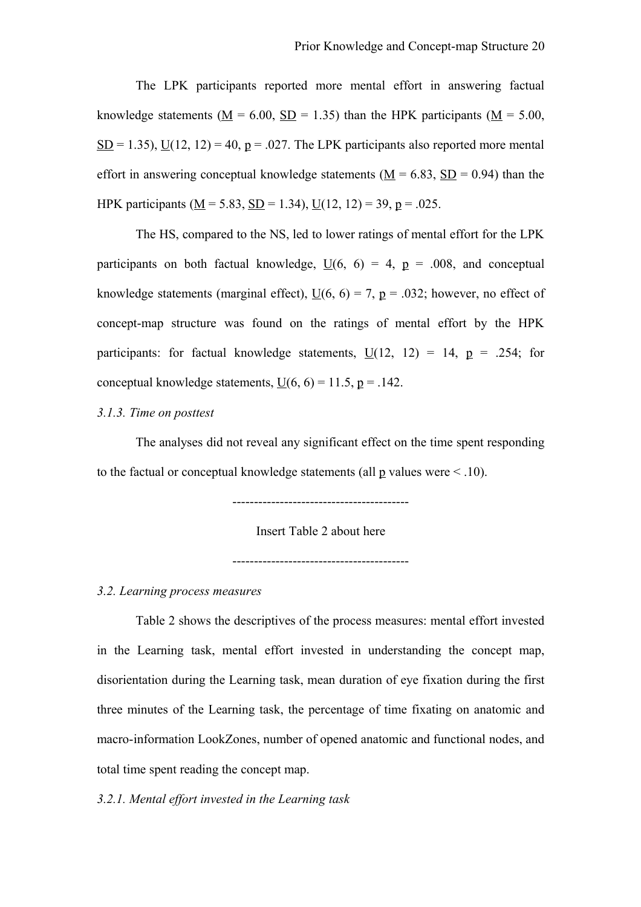The LPK participants reported more mental effort in answering factual knowledge statements ( $M = 6.00$ ,  $SD = 1.35$ ) than the HPK participants ( $M = 5.00$ ,  $SD = 1.35$ ),  $U(12, 12) = 40$ ,  $p = .027$ . The LPK participants also reported more mental effort in answering conceptual knowledge statements ( $M = 6.83$ ,  $SD = 0.94$ ) than the HPK participants ( $\underline{M} = 5.83$ ,  $\underline{SD} = 1.34$ ),  $\underline{U}(12, 12) = 39$ ,  $\underline{p} = .025$ .

The HS, compared to the NS, led to lower ratings of mental effort for the LPK participants on both factual knowledge,  $\underline{U}(6, 6) = 4$ ,  $\underline{p} = .008$ , and conceptual knowledge statements (marginal effect),  $\underline{U}(6, 6) = 7$ ,  $\underline{p} = .032$ ; however, no effect of concept-map structure was found on the ratings of mental effort by the HPK participants: for factual knowledge statements,  $U(12, 12) = 14$ ,  $p = .254$ ; for conceptual knowledge statements,  $\underline{U}(6, 6) = 11.5$ ,  $\underline{p} = .142$ .

# *3.1.3. Time on posttest*

The analyses did not reveal any significant effect on the time spent responding to the factual or conceptual knowledge statements (all  $p$  values were  $\leq$  10).

-----------------------------------------

Insert Table 2 about here

-----------------------------------------

# *3.2. Learning process measures*

Table 2 shows the descriptives of the process measures: mental effort invested in the Learning task, mental effort invested in understanding the concept map, disorientation during the Learning task, mean duration of eye fixation during the first three minutes of the Learning task, the percentage of time fixating on anatomic and macro-information LookZones, number of opened anatomic and functional nodes, and total time spent reading the concept map.

### *3.2.1. Mental effort invested in the Learning task*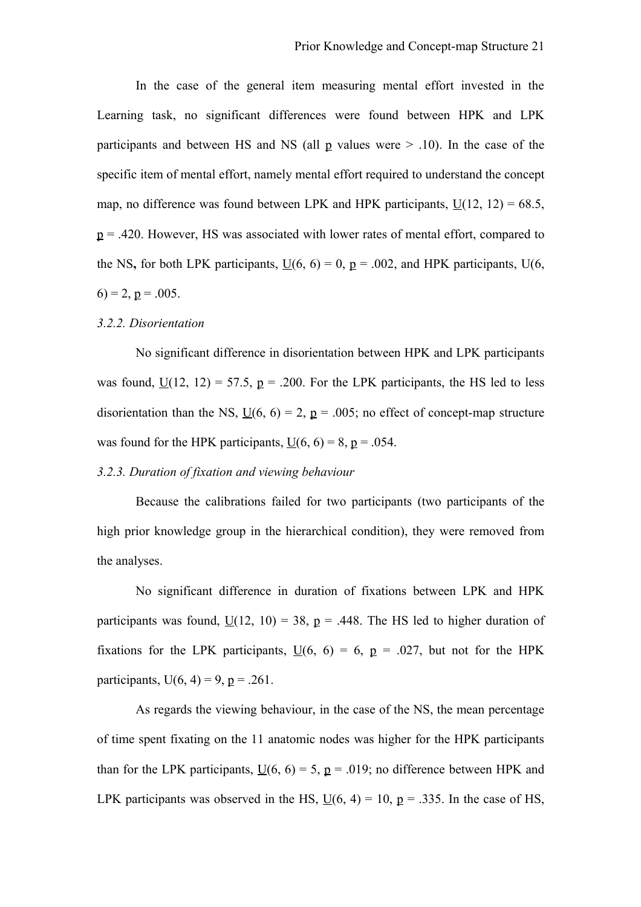In the case of the general item measuring mental effort invested in the Learning task, no significant differences were found between HPK and LPK participants and between HS and NS (all p values were  $> 0.10$ ). In the case of the specific item of mental effort, namely mental effort required to understand the concept map, no difference was found between LPK and HPK participants,  $\underline{U}(12, 12) = 68.5$ ,  $p = .420$ . However, HS was associated with lower rates of mental effort, compared to the NS, for both LPK participants,  $\underline{U}(6, 6) = 0$ ,  $\underline{p} = .002$ , and HPK participants,  $U(6, 6) = 0$  $(6) = 2$ ,  $p = .005$ .

### *3.2.2. Disorientation*

No significant difference in disorientation between HPK and LPK participants was found,  $U(12, 12) = 57.5$ ,  $p = .200$ . For the LPK participants, the HS led to less disorientation than the NS,  $\underline{U}(6, 6) = 2$ ,  $\underline{p} = .005$ ; no effect of concept-map structure was found for the HPK participants,  $U(6, 6) = 8$ ,  $p = .054$ .

# *3.2.3. Duration of fixation and viewing behaviour*

Because the calibrations failed for two participants (two participants of the high prior knowledge group in the hierarchical condition), they were removed from the analyses.

No significant difference in duration of fixations between LPK and HPK participants was found,  $U(12, 10) = 38$ ,  $p = .448$ . The HS led to higher duration of fixations for the LPK participants,  $\underline{U}(6, 6) = 6$ ,  $\underline{p} = .027$ , but not for the HPK participants,  $U(6, 4) = 9$ ,  $p = .261$ .

As regards the viewing behaviour, in the case of the NS, the mean percentage of time spent fixating on the 11 anatomic nodes was higher for the HPK participants than for the LPK participants,  $\underline{U}(6, 6) = 5$ ,  $\underline{p} = .019$ ; no difference between HPK and LPK participants was observed in the HS,  $U(6, 4) = 10$ ,  $p = .335$ . In the case of HS,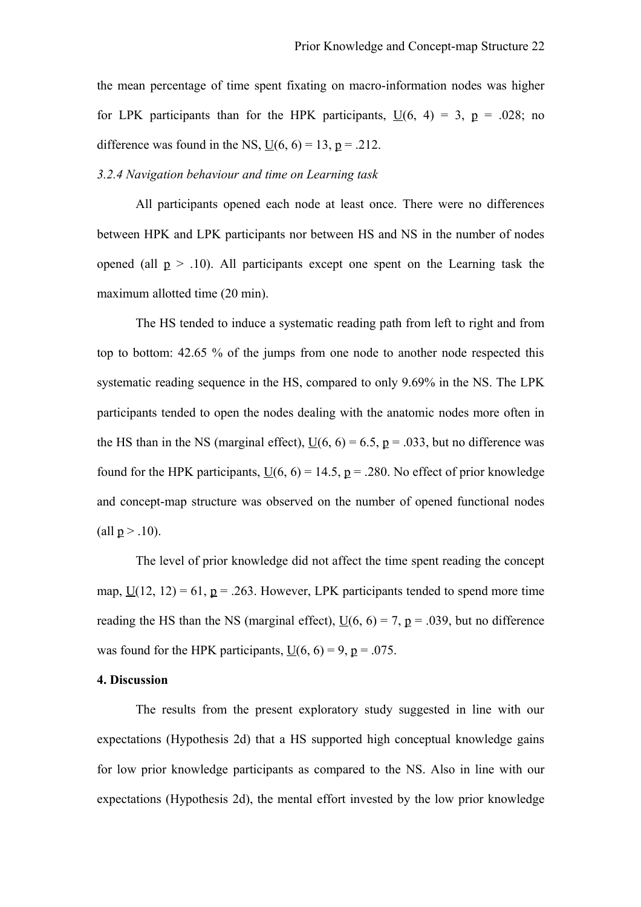the mean percentage of time spent fixating on macro-information nodes was higher for LPK participants than for the HPK participants,  $U(6, 4) = 3$ ,  $p = .028$ ; no difference was found in the NS,  $U(6, 6) = 13$ ,  $p = .212$ .

*3.2.4 Navigation behaviour and time on Learning task*

All participants opened each node at least once. There were no differences between HPK and LPK participants nor between HS and NS in the number of nodes opened (all  $p > .10$ ). All participants except one spent on the Learning task the maximum allotted time (20 min).

The HS tended to induce a systematic reading path from left to right and from top to bottom: 42.65 % of the jumps from one node to another node respected this systematic reading sequence in the HS, compared to only 9.69% in the NS. The LPK participants tended to open the nodes dealing with the anatomic nodes more often in the HS than in the NS (marginal effect),  $\underline{U}(6, 6) = 6.5$ ,  $\underline{p} = .033$ , but no difference was found for the HPK participants,  $U(6, 6) = 14.5$ ,  $p = .280$ . No effect of prior knowledge and concept-map structure was observed on the number of opened functional nodes (all  $p > .10$ ).

The level of prior knowledge did not affect the time spent reading the concept map,  $\underline{U}(12, 12) = 61$ ,  $\underline{p} = .263$ . However, LPK participants tended to spend more time reading the HS than the NS (marginal effect),  $\underline{U}(6, 6) = 7$ ,  $\underline{p} = .039$ , but no difference was found for the HPK participants,  $U(6, 6) = 9$ , p = .075.

# **4. Discussion**

The results from the present exploratory study suggested in line with our expectations (Hypothesis 2d) that a HS supported high conceptual knowledge gains for low prior knowledge participants as compared to the NS. Also in line with our expectations (Hypothesis 2d), the mental effort invested by the low prior knowledge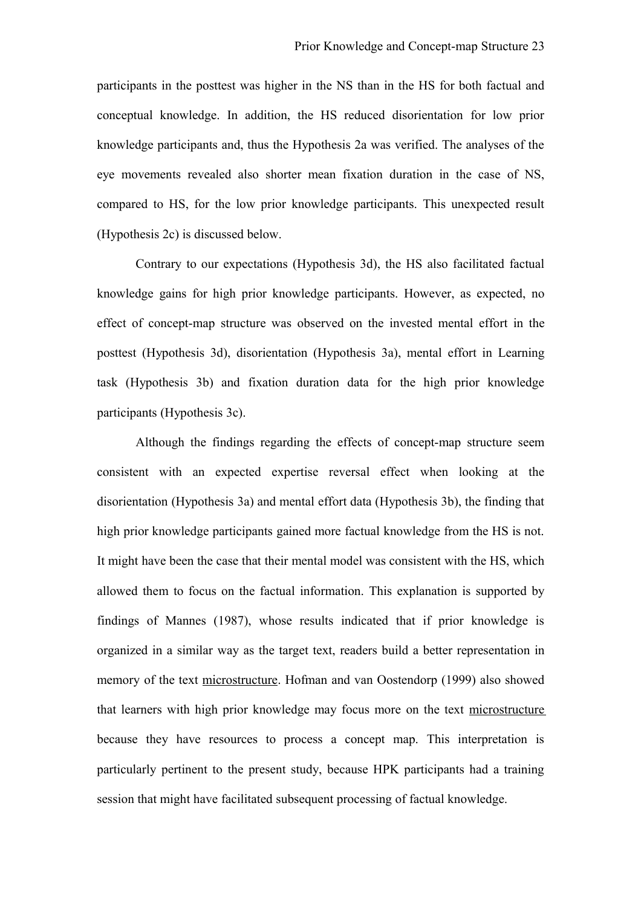participants in the posttest was higher in the NS than in the HS for both factual and conceptual knowledge. In addition, the HS reduced disorientation for low prior knowledge participants and, thus the Hypothesis 2a was verified. The analyses of the eye movements revealed also shorter mean fixation duration in the case of NS, compared to HS, for the low prior knowledge participants. This unexpected result (Hypothesis 2c) is discussed below.

Contrary to our expectations (Hypothesis 3d), the HS also facilitated factual knowledge gains for high prior knowledge participants. However, as expected, no effect of concept-map structure was observed on the invested mental effort in the posttest (Hypothesis 3d), disorientation (Hypothesis 3a), mental effort in Learning task (Hypothesis 3b) and fixation duration data for the high prior knowledge participants (Hypothesis 3c).

Although the findings regarding the effects of concept-map structure seem consistent with an expected expertise reversal effect when looking at the disorientation (Hypothesis 3a) and mental effort data (Hypothesis 3b), the finding that high prior knowledge participants gained more factual knowledge from the HS is not. It might have been the case that their mental model was consistent with the HS, which allowed them to focus on the factual information. This explanation is supported by findings of Mannes (1987), whose results indicated that if prior knowledge is organized in a similar way as the target text, readers build a better representation in memory of the text microstructure. Hofman and van Oostendorp (1999) also showed that learners with high prior knowledge may focus more on the text microstructure because they have resources to process a concept map. This interpretation is particularly pertinent to the present study, because HPK participants had a training session that might have facilitated subsequent processing of factual knowledge.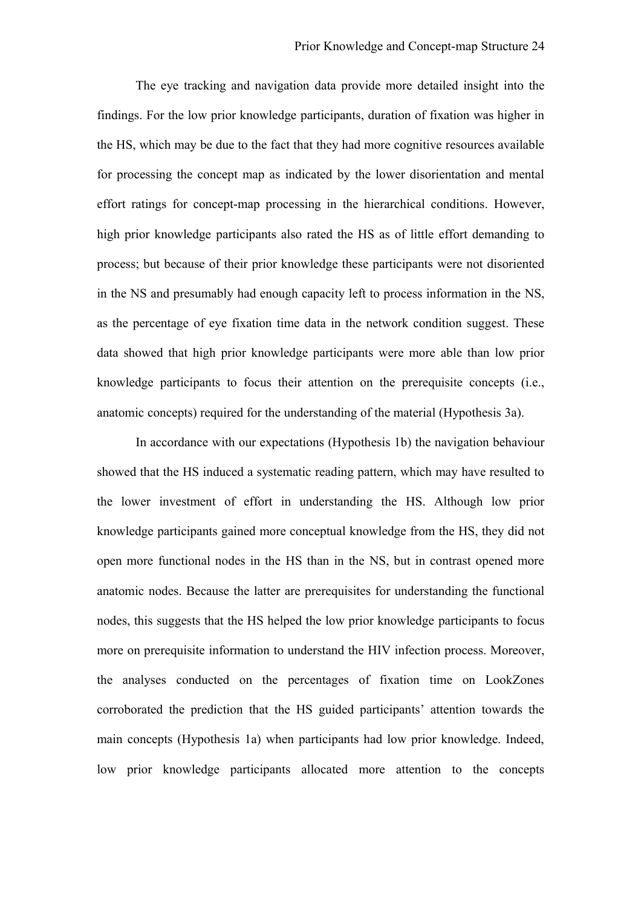The eye tracking and navigation data provide more detailed insight into the findings. For the low prior knowledge participants, duration of fixation was higher in the HS, which may be due to the fact that they had more cognitive resources available for processing the concept map as indicated by the lower disorientation and mental effort ratings for concept-map processing in the hierarchical conditions. However, high prior knowledge participants also rated the HS as of little effort demanding to process; but because of their prior knowledge these participants were not disoriented in the NS and presumably had enough capacity left to process information in the NS, as the percentage of eye fixation time data in the network condition suggest. These data showed that high prior knowledge participants were more able than low prior knowledge participants to focus their attention on the prerequisite concepts (i.e., anatomic concepts) required for the understanding of the material (Hypothesis 3a).

In accordance with our expectations (Hypothesis 1b) the navigation behaviour showed that the HS induced a systematic reading pattern, which may have resulted to the lower investment of effort in understanding the HS. Although low prior knowledge participants gained more conceptual knowledge from the HS, they did not open more functional nodes in the HS than in the NS, but in contrast opened more anatomic nodes. Because the latter are prerequisites for understanding the functional nodes, this suggests that the HS helped the low prior knowledge participants to focus more on prerequisite information to understand the HIV infection process. Moreover, the analyses conducted on the percentages of fixation time on LookZones corroborated the prediction that the HS guided participants' attention towards the main concepts (Hypothesis 1a) when participants had low prior knowledge. Indeed, low prior knowledge participants allocated more attention to the concepts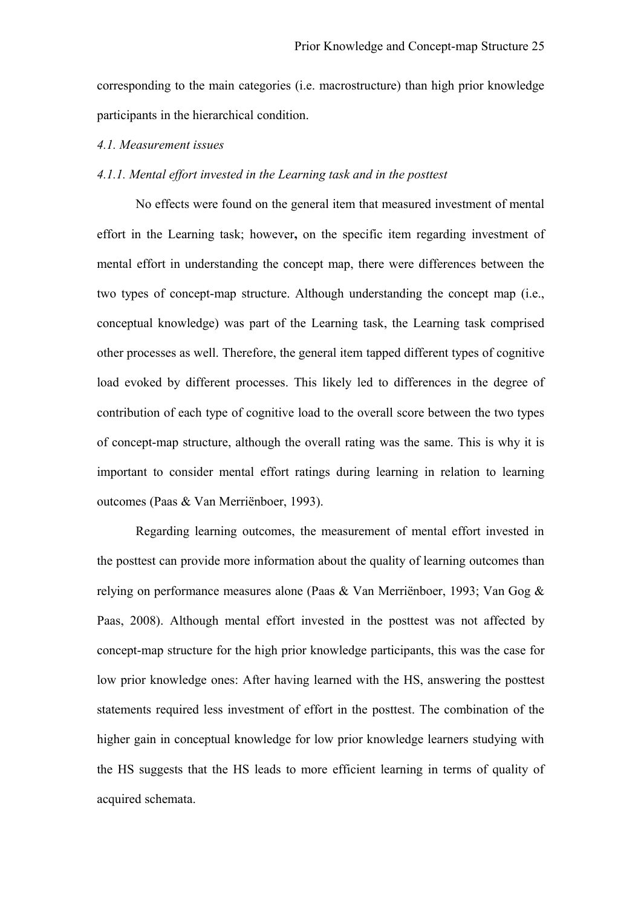corresponding to the main categories (i.e. macrostructure) than high prior knowledge participants in the hierarchical condition.

## *4.1. Measurement issues*

# *4.1.1. Mental effort invested in the Learning task and in the posttest*

No effects were found on the general item that measured investment of mental effort in the Learning task; however**,** on the specific item regarding investment of mental effort in understanding the concept map, there were differences between the two types of concept-map structure. Although understanding the concept map (i.e., conceptual knowledge) was part of the Learning task, the Learning task comprised other processes as well. Therefore, the general item tapped different types of cognitive load evoked by different processes. This likely led to differences in the degree of contribution of each type of cognitive load to the overall score between the two types of concept-map structure, although the overall rating was the same. This is why it is important to consider mental effort ratings during learning in relation to learning outcomes (Paas & Van Merriënboer, 1993).

Regarding learning outcomes, the measurement of mental effort invested in the posttest can provide more information about the quality of learning outcomes than relying on performance measures alone (Paas & Van Merriënboer, 1993; Van Gog & Paas, 2008). Although mental effort invested in the posttest was not affected by concept-map structure for the high prior knowledge participants, this was the case for low prior knowledge ones: After having learned with the HS, answering the posttest statements required less investment of effort in the posttest. The combination of the higher gain in conceptual knowledge for low prior knowledge learners studying with the HS suggests that the HS leads to more efficient learning in terms of quality of acquired schemata.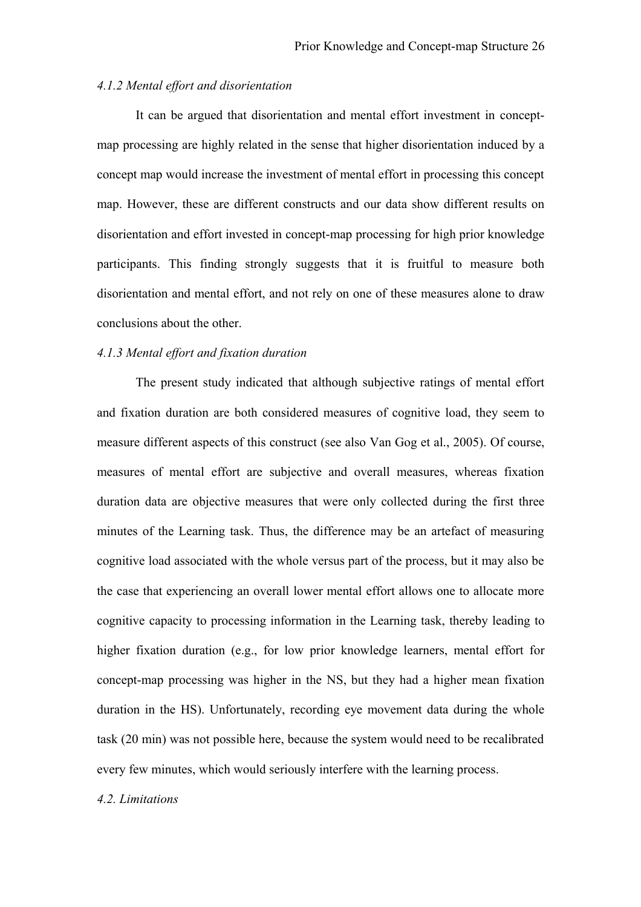# *4.1.2 Mental effort and disorientation*

It can be argued that disorientation and mental effort investment in conceptmap processing are highly related in the sense that higher disorientation induced by a concept map would increase the investment of mental effort in processing this concept map. However, these are different constructs and our data show different results on disorientation and effort invested in concept-map processing for high prior knowledge participants. This finding strongly suggests that it is fruitful to measure both disorientation and mental effort, and not rely on one of these measures alone to draw conclusions about the other.

## *4.1.3 Mental effort and fixation duration*

The present study indicated that although subjective ratings of mental effort and fixation duration are both considered measures of cognitive load, they seem to measure different aspects of this construct (see also Van Gog et al., 2005). Of course, measures of mental effort are subjective and overall measures, whereas fixation duration data are objective measures that were only collected during the first three minutes of the Learning task. Thus, the difference may be an artefact of measuring cognitive load associated with the whole versus part of the process, but it may also be the case that experiencing an overall lower mental effort allows one to allocate more cognitive capacity to processing information in the Learning task, thereby leading to higher fixation duration (e.g., for low prior knowledge learners, mental effort for concept-map processing was higher in the NS, but they had a higher mean fixation duration in the HS). Unfortunately, recording eye movement data during the whole task (20 min) was not possible here, because the system would need to be recalibrated every few minutes, which would seriously interfere with the learning process.

### *4.2. Limitations*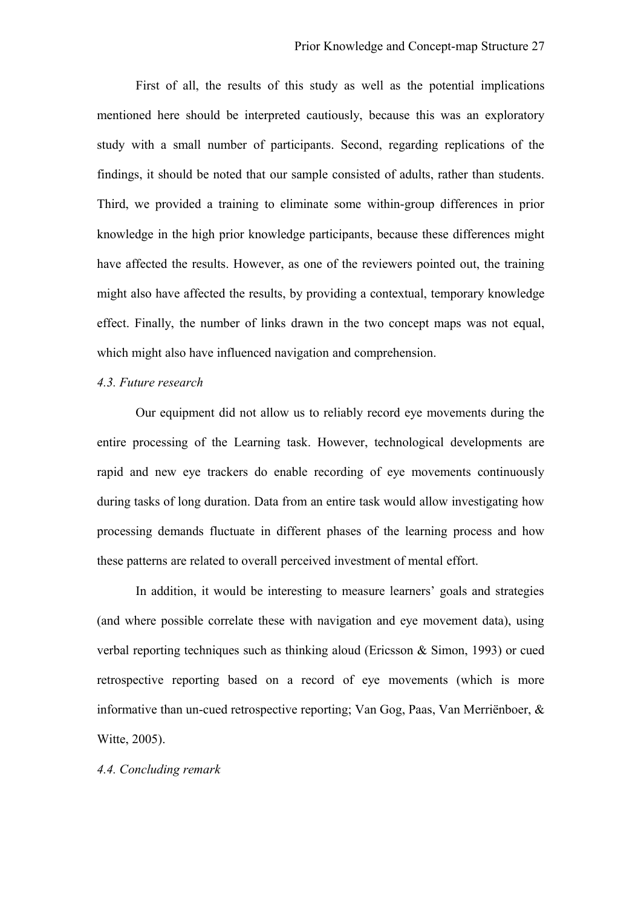First of all, the results of this study as well as the potential implications mentioned here should be interpreted cautiously, because this was an exploratory study with a small number of participants. Second, regarding replications of the findings, it should be noted that our sample consisted of adults, rather than students. Third, we provided a training to eliminate some within-group differences in prior knowledge in the high prior knowledge participants, because these differences might have affected the results. However, as one of the reviewers pointed out, the training might also have affected the results, by providing a contextual, temporary knowledge effect. Finally, the number of links drawn in the two concept maps was not equal, which might also have influenced navigation and comprehension.

# *4.3. Future research*

Our equipment did not allow us to reliably record eye movements during the entire processing of the Learning task. However, technological developments are rapid and new eye trackers do enable recording of eye movements continuously during tasks of long duration. Data from an entire task would allow investigating how processing demands fluctuate in different phases of the learning process and how these patterns are related to overall perceived investment of mental effort.

In addition, it would be interesting to measure learners' goals and strategies (and where possible correlate these with navigation and eye movement data), using verbal reporting techniques such as thinking aloud (Ericsson & Simon, 1993) or cued retrospective reporting based on a record of eye movements (which is more informative than un-cued retrospective reporting; Van Gog, Paas, Van Merriënboer, & Witte, 2005).

*4.4. Concluding remark*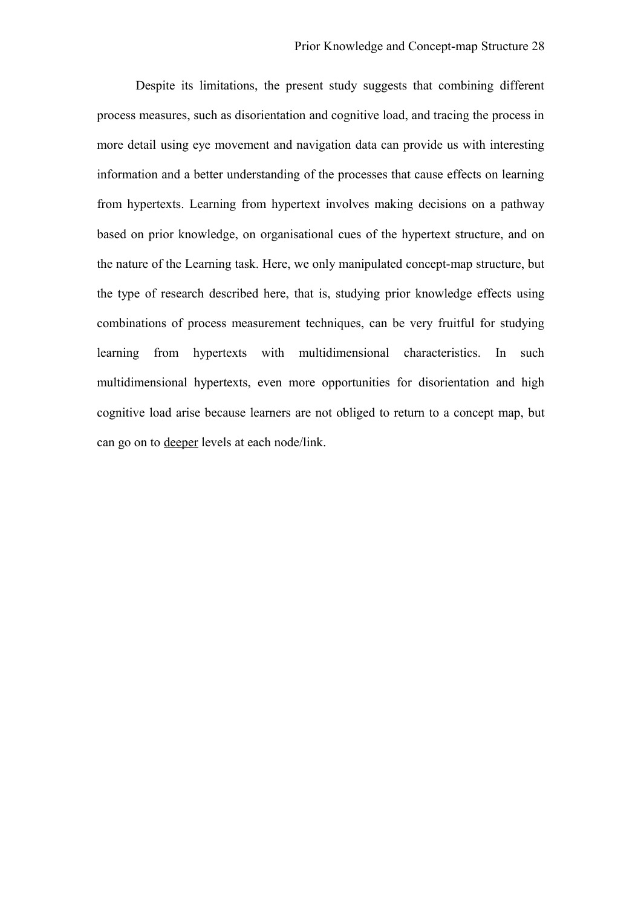Despite its limitations, the present study suggests that combining different process measures, such as disorientation and cognitive load, and tracing the process in more detail using eye movement and navigation data can provide us with interesting information and a better understanding of the processes that cause effects on learning from hypertexts. Learning from hypertext involves making decisions on a pathway based on prior knowledge, on organisational cues of the hypertext structure, and on the nature of the Learning task. Here, we only manipulated concept-map structure, but the type of research described here, that is, studying prior knowledge effects using combinations of process measurement techniques, can be very fruitful for studying learning from hypertexts with multidimensional characteristics. In such multidimensional hypertexts, even more opportunities for disorientation and high cognitive load arise because learners are not obliged to return to a concept map, but can go on to deeper levels at each node/link.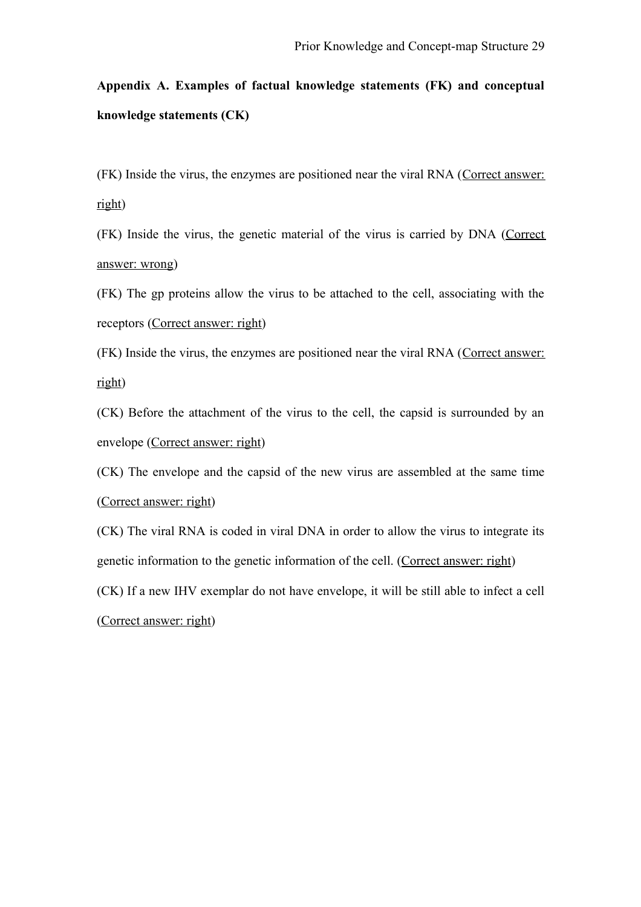# **Appendix A. Examples of factual knowledge statements (FK) and conceptual knowledge statements (CK)**

(FK) Inside the virus, the enzymes are positioned near the viral RNA (Correct answer: right)

(FK) Inside the virus, the genetic material of the virus is carried by DNA (Correct answer: wrong)

(FK) The gp proteins allow the virus to be attached to the cell, associating with the receptors (Correct answer: right)

(FK) Inside the virus, the enzymes are positioned near the viral RNA (Correct answer: right)

(CK) Before the attachment of the virus to the cell, the capsid is surrounded by an envelope (Correct answer: right)

(CK) The envelope and the capsid of the new virus are assembled at the same time (Correct answer: right)

(CK) The viral RNA is coded in viral DNA in order to allow the virus to integrate its genetic information to the genetic information of the cell. (Correct answer: right) (CK) If a new IHV exemplar do not have envelope, it will be still able to infect a cell (Correct answer: right)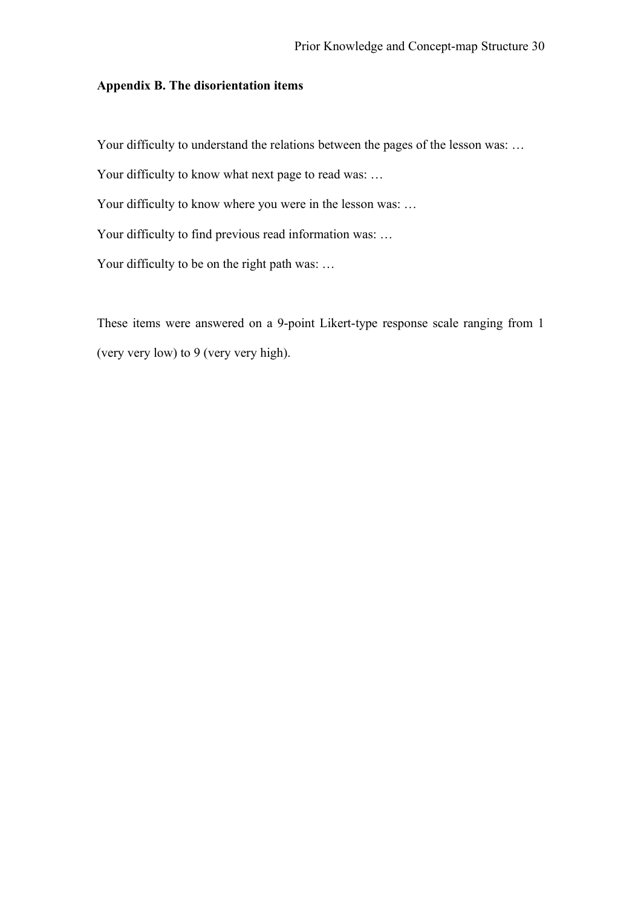# **Appendix B. The disorientation items**

Your difficulty to understand the relations between the pages of the lesson was: ...

Your difficulty to know what next page to read was: ...

Your difficulty to know where you were in the lesson was: ...

Your difficulty to find previous read information was: ...

Your difficulty to be on the right path was: ...

These items were answered on a 9-point Likert-type response scale ranging from 1 (very very low) to 9 (very very high).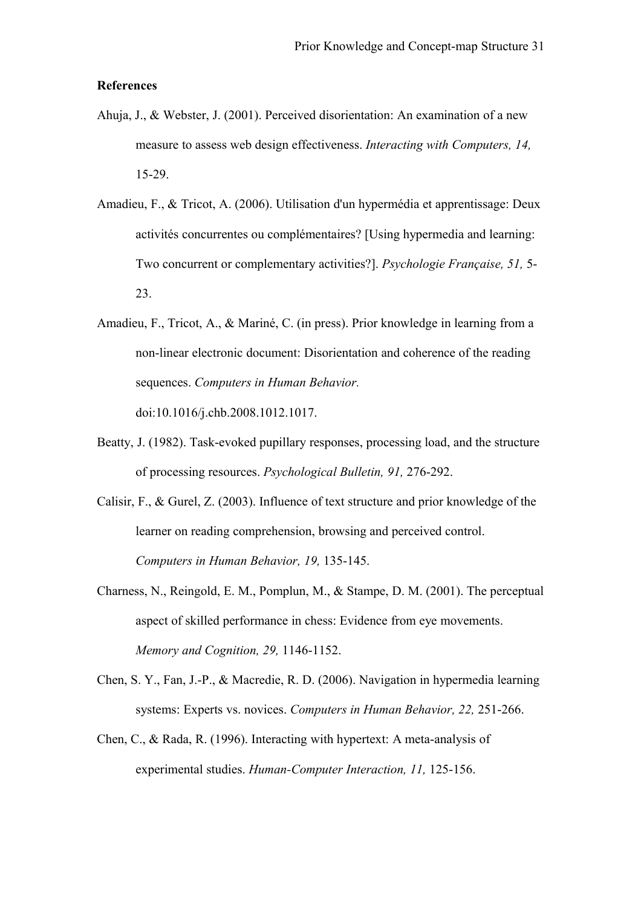### **References**

- Ahuja, J., & Webster, J. (2001). Perceived disorientation: An examination of a new measure to assess web design effectiveness. *Interacting with Computers, 14,* 15-29.
- Amadieu, F., & Tricot, A. (2006). Utilisation d'un hypermédia et apprentissage: Deux activités concurrentes ou complémentaires? [Using hypermedia and learning: Two concurrent or complementary activities?]. *Psychologie Française, 51,* 5- 23.
- Amadieu, F., Tricot, A., & Mariné, C. (in press). Prior knowledge in learning from a non-linear electronic document: Disorientation and coherence of the reading sequences. *Computers in Human Behavior.*

doi:10.1016/j.chb.2008.1012.1017.

- Beatty, J. (1982). Task-evoked pupillary responses, processing load, and the structure of processing resources. *Psychological Bulletin, 91,* 276-292.
- Calisir, F., & Gurel, Z. (2003). Influence of text structure and prior knowledge of the learner on reading comprehension, browsing and perceived control. *Computers in Human Behavior, 19,* 135-145.
- Charness, N., Reingold, E. M., Pomplun, M., & Stampe, D. M. (2001). The perceptual aspect of skilled performance in chess: Evidence from eye movements. *Memory and Cognition, 29,* 1146-1152.
- Chen, S. Y., Fan, J.-P., & Macredie, R. D. (2006). Navigation in hypermedia learning systems: Experts vs. novices. *Computers in Human Behavior, 22,* 251-266.
- Chen, C., & Rada, R. (1996). Interacting with hypertext: A meta-analysis of experimental studies. *Human-Computer Interaction, 11,* 125-156.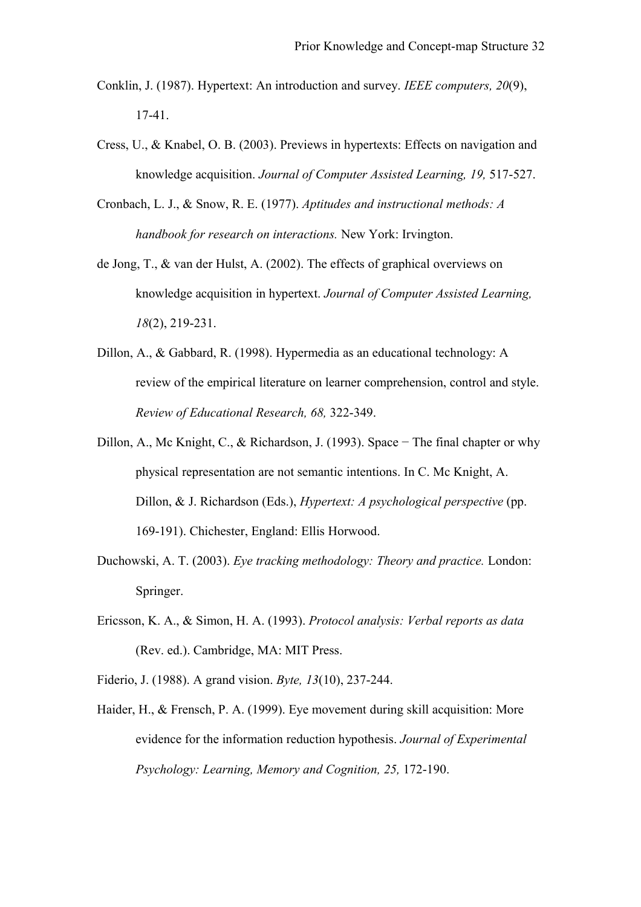- Conklin, J. (1987). Hypertext: An introduction and survey. *IEEE computers, 20*(9), 17-41.
- Cress, U., & Knabel, O. B. (2003). Previews in hypertexts: Effects on navigation and knowledge acquisition. *Journal of Computer Assisted Learning, 19,* 517-527.
- Cronbach, L. J., & Snow, R. E. (1977). *Aptitudes and instructional methods: A handbook for research on interactions.* New York: Irvington.
- de Jong, T., & van der Hulst, A. (2002). The effects of graphical overviews on knowledge acquisition in hypertext. *Journal of Computer Assisted Learning, 18*(2), 219-231.
- Dillon, A., & Gabbard, R. (1998). Hypermedia as an educational technology: A review of the empirical literature on learner comprehension, control and style. *Review of Educational Research, 68,* 322-349.
- Dillon, A., Mc Knight, C., & Richardson, J. (1993). Space − The final chapter or why physical representation are not semantic intentions. In C. Mc Knight, A. Dillon, & J. Richardson (Eds.), *Hypertext: A psychological perspective* (pp. 169-191). Chichester, England: Ellis Horwood.
- Duchowski, A. T. (2003). *Eye tracking methodology: Theory and practice.* London: Springer.
- Ericsson, K. A., & Simon, H. A. (1993). *Protocol analysis: Verbal reports as data* (Rev. ed.). Cambridge, MA: MIT Press.
- Fiderio, J. (1988). A grand vision. *Byte, 13*(10), 237-244.
- Haider, H., & Frensch, P. A. (1999). Eye movement during skill acquisition: More evidence for the information reduction hypothesis. *Journal of Experimental Psychology: Learning, Memory and Cognition, 25,* 172-190.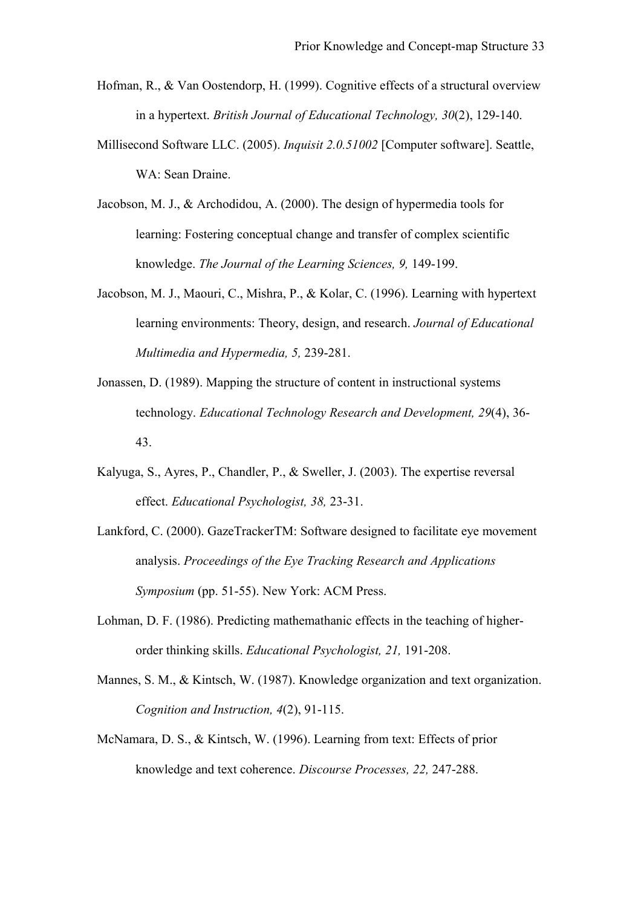- Hofman, R., & Van Oostendorp, H. (1999). Cognitive effects of a structural overview in a hypertext. *British Journal of Educational Technology, 30*(2), 129-140.
- Millisecond Software LLC. (2005). *Inquisit 2.0.51002* [Computer software]. Seattle, WA: Sean Draine.
- Jacobson, M. J., & Archodidou, A. (2000). The design of hypermedia tools for learning: Fostering conceptual change and transfer of complex scientific knowledge. *The Journal of the Learning Sciences, 9,* 149-199.
- Jacobson, M. J., Maouri, C., Mishra, P., & Kolar, C. (1996). Learning with hypertext learning environments: Theory, design, and research. *Journal of Educational Multimedia and Hypermedia, 5,* 239-281.
- Jonassen, D. (1989). Mapping the structure of content in instructional systems technology. *Educational Technology Research and Development, 29*(4), 36- 43.
- Kalyuga, S., Ayres, P., Chandler, P., & Sweller, J. (2003). The expertise reversal effect. *Educational Psychologist, 38,* 23-31.
- Lankford, C. (2000). GazeTrackerTM: Software designed to facilitate eye movement analysis. *Proceedings of the Eye Tracking Research and Applications Symposium* (pp. 51-55). New York: ACM Press.
- Lohman, D. F. (1986). Predicting mathemathanic effects in the teaching of higherorder thinking skills. *Educational Psychologist, 21,* 191-208.
- Mannes, S. M., & Kintsch, W. (1987). Knowledge organization and text organization. *Cognition and Instruction, 4*(2), 91-115.
- McNamara, D. S., & Kintsch, W. (1996). Learning from text: Effects of prior knowledge and text coherence. *Discourse Processes, 22,* 247-288.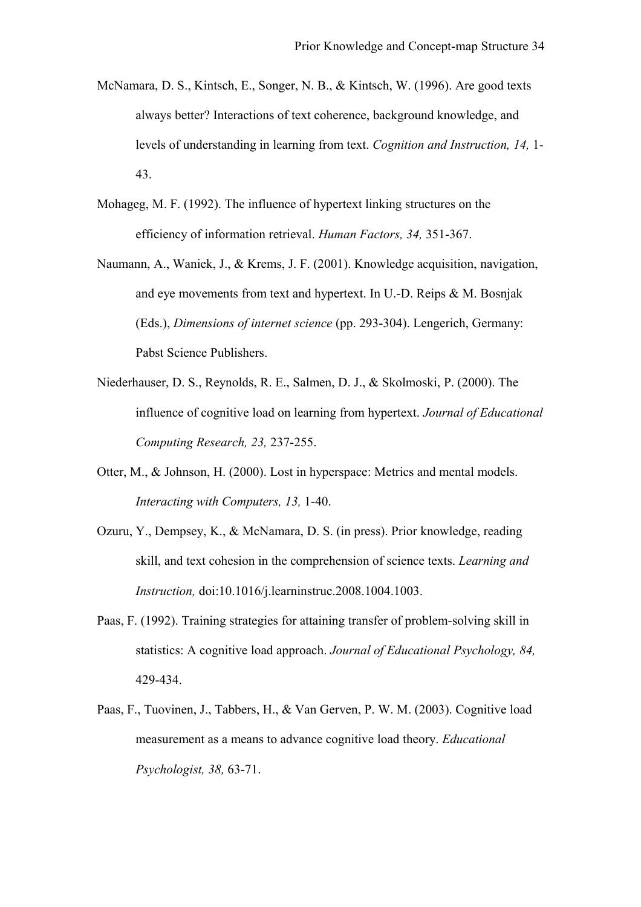- McNamara, D. S., Kintsch, E., Songer, N. B., & Kintsch, W. (1996). Are good texts always better? Interactions of text coherence, background knowledge, and levels of understanding in learning from text. *Cognition and Instruction, 14,* 1- 43.
- Mohageg, M. F. (1992). The influence of hypertext linking structures on the efficiency of information retrieval. *Human Factors, 34,* 351-367.
- Naumann, A., Waniek, J., & Krems, J. F. (2001). Knowledge acquisition, navigation, and eye movements from text and hypertext. In U.-D. Reips & M. Bosnjak (Eds.), *Dimensions of internet science* (pp. 293-304). Lengerich, Germany: Pabst Science Publishers.
- Niederhauser, D. S., Reynolds, R. E., Salmen, D. J., & Skolmoski, P. (2000). The influence of cognitive load on learning from hypertext. *Journal of Educational Computing Research, 23,* 237-255.
- Otter, M., & Johnson, H. (2000). Lost in hyperspace: Metrics and mental models. *Interacting with Computers, 13,* 1-40.
- Ozuru, Y., Dempsey, K., & McNamara, D. S. (in press). Prior knowledge, reading skill, and text cohesion in the comprehension of science texts. *Learning and Instruction,* doi:10.1016/j.learninstruc.2008.1004.1003.
- Paas, F. (1992). Training strategies for attaining transfer of problem-solving skill in statistics: A cognitive load approach. *Journal of Educational Psychology, 84,* 429-434.
- Paas, F., Tuovinen, J., Tabbers, H., & Van Gerven, P. W. M. (2003). Cognitive load measurement as a means to advance cognitive load theory. *Educational Psychologist, 38,* 63-71.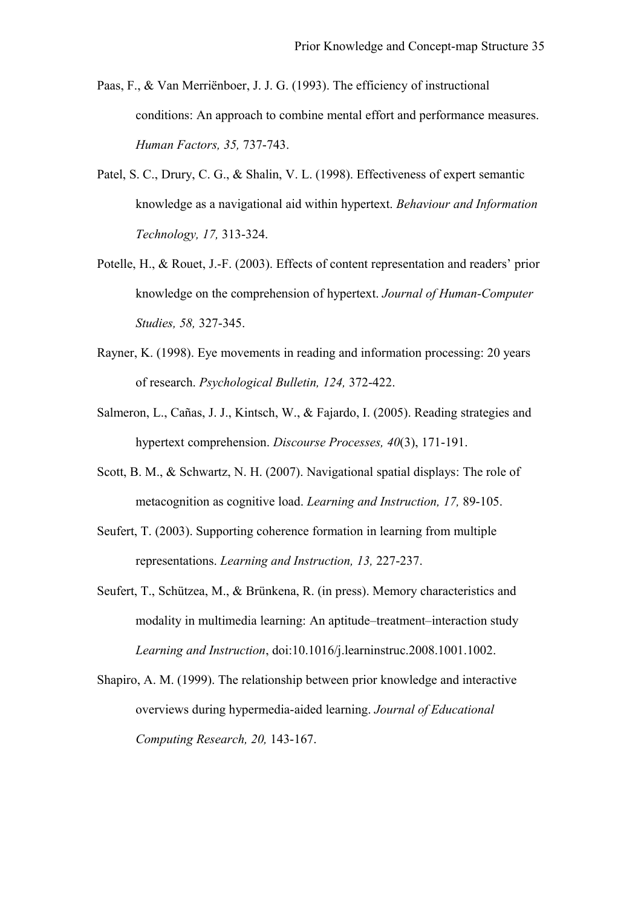- Paas, F., & Van Merriënboer, J. J. G. (1993). The efficiency of instructional conditions: An approach to combine mental effort and performance measures. *Human Factors, 35,* 737-743.
- Patel, S. C., Drury, C. G., & Shalin, V. L. (1998). Effectiveness of expert semantic knowledge as a navigational aid within hypertext. *Behaviour and Information Technology, 17,* 313-324.
- Potelle, H., & Rouet, J.-F. (2003). Effects of content representation and readers' prior knowledge on the comprehension of hypertext. *Journal of Human-Computer Studies, 58,* 327-345.
- Rayner, K. (1998). Eye movements in reading and information processing: 20 years of research. *Psychological Bulletin, 124,* 372-422.
- Salmeron, L., Cañas, J. J., Kintsch, W., & Fajardo, I. (2005). Reading strategies and hypertext comprehension. *Discourse Processes, 40*(3), 171-191.
- Scott, B. M., & Schwartz, N. H. (2007). Navigational spatial displays: The role of metacognition as cognitive load. *Learning and Instruction, 17,* 89-105.
- Seufert, T. (2003). Supporting coherence formation in learning from multiple representations. *Learning and Instruction, 13,* 227-237.
- Seufert, T., Schützea, M., & Brünkena, R. (in press). Memory characteristics and modality in multimedia learning: An aptitude–treatment–interaction study *Learning and Instruction*, doi:10.1016/j.learninstruc.2008.1001.1002.
- Shapiro, A. M. (1999). The relationship between prior knowledge and interactive overviews during hypermedia-aided learning. *Journal of Educational Computing Research, 20,* 143-167.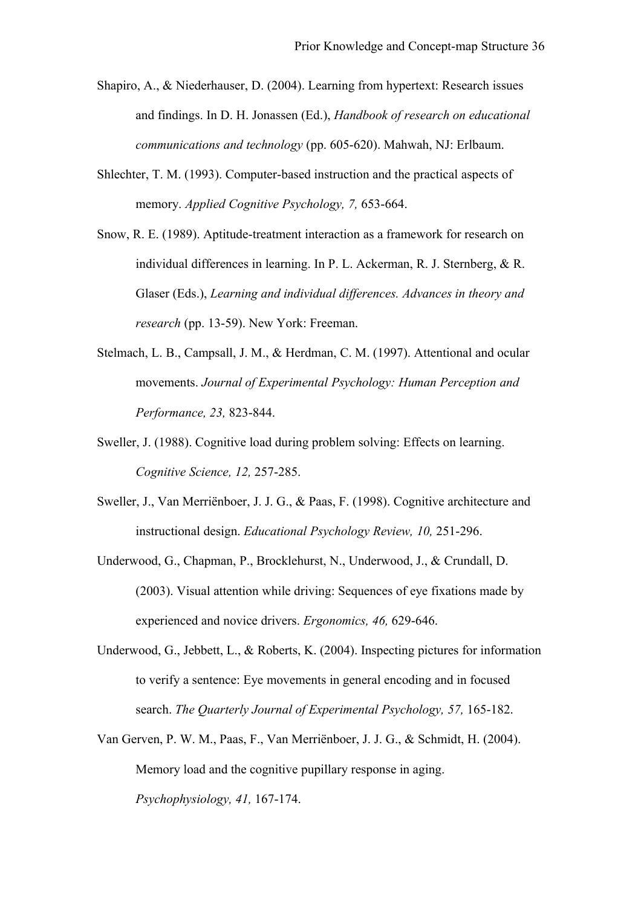- Shapiro, A., & Niederhauser, D. (2004). Learning from hypertext: Research issues and findings. In D. H. Jonassen (Ed.), *Handbook of research on educational communications and technology* (pp. 605-620). Mahwah, NJ: Erlbaum.
- Shlechter, T. M. (1993). Computer-based instruction and the practical aspects of memory. *Applied Cognitive Psychology, 7,* 653-664.
- Snow, R. E. (1989). Aptitude-treatment interaction as a framework for research on individual differences in learning. In P. L. Ackerman, R. J. Sternberg, & R. Glaser (Eds.), *Learning and individual differences. Advances in theory and research* (pp. 13-59). New York: Freeman.
- Stelmach, L. B., Campsall, J. M., & Herdman, C. M. (1997). Attentional and ocular movements. *Journal of Experimental Psychology: Human Perception and Performance, 23,* 823-844.
- Sweller, J. (1988). Cognitive load during problem solving: Effects on learning. *Cognitive Science, 12,* 257-285.
- Sweller, J., Van Merriënboer, J. J. G., & Paas, F. (1998). Cognitive architecture and instructional design. *Educational Psychology Review, 10,* 251-296.
- Underwood, G., Chapman, P., Brocklehurst, N., Underwood, J., & Crundall, D. (2003). Visual attention while driving: Sequences of eye fixations made by experienced and novice drivers. *Ergonomics, 46,* 629-646.
- Underwood, G., Jebbett, L., & Roberts, K. (2004). Inspecting pictures for information to verify a sentence: Eye movements in general encoding and in focused search. *The Quarterly Journal of Experimental Psychology, 57,* 165-182.
- Van Gerven, P. W. M., Paas, F., Van Merriënboer, J. J. G., & Schmidt, H. (2004). Memory load and the cognitive pupillary response in aging. *Psychophysiology, 41,* 167-174.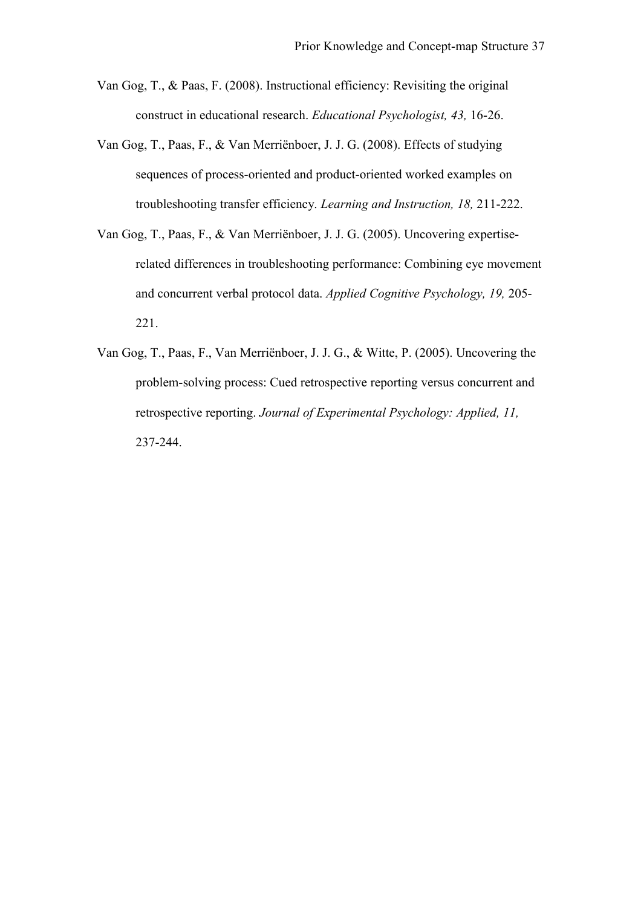- Van Gog, T., & Paas, F. (2008). Instructional efficiency: Revisiting the original construct in educational research. *Educational Psychologist, 43,* 16-26.
- Van Gog, T., Paas, F., & Van Merriënboer, J. J. G. (2008). Effects of studying sequences of process-oriented and product-oriented worked examples on troubleshooting transfer efficiency. *Learning and Instruction, 18,* 211-222.
- Van Gog, T., Paas, F., & Van Merriënboer, J. J. G. (2005). Uncovering expertiserelated differences in troubleshooting performance: Combining eye movement and concurrent verbal protocol data. *Applied Cognitive Psychology, 19,* 205- 221.
- Van Gog, T., Paas, F., Van Merriënboer, J. J. G., & Witte, P. (2005). Uncovering the problem-solving process: Cued retrospective reporting versus concurrent and retrospective reporting. *Journal of Experimental Psychology: Applied, 11,* 237-244.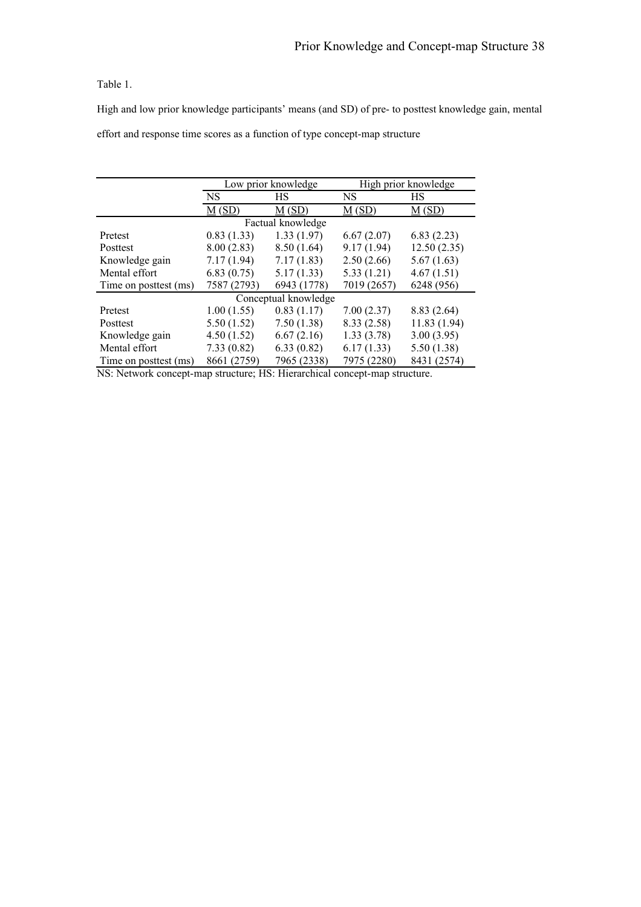#### Table 1.

High and low prior knowledge participants' means (and SD) of pre- to posttest knowledge gain, mental effort and response time scores as a function of type concept-map structure

|                       |             | Low prior knowledge  | High prior knowledge |                      |  |  |  |  |
|-----------------------|-------------|----------------------|----------------------|----------------------|--|--|--|--|
|                       | <b>NS</b>   | HS                   | <b>NS</b>            | HS                   |  |  |  |  |
|                       | M(SD)       | $\underline{M}$ (SD) | $\underline{M}$ (SD) | $\underline{M}$ (SD) |  |  |  |  |
| Factual knowledge     |             |                      |                      |                      |  |  |  |  |
| Pretest               | 0.83(1.33)  | 1.33(1.97)           | 6.67(2.07)           | 6.83(2.23)           |  |  |  |  |
| Posttest              | 8.00(2.83)  | 8.50(1.64)           | 9.17(1.94)           | 12.50(2.35)          |  |  |  |  |
| Knowledge gain        | 7.17(1.94)  | 7.17(1.83)           | 2.50(2.66)           | 5.67(1.63)           |  |  |  |  |
| Mental effort         | 6.83(0.75)  | 5.17(1.33)           | 5.33(1.21)           | 4.67(1.51)           |  |  |  |  |
| Time on posttest (ms) | 7587 (2793) | 6943 (1778)          | 7019 (2657)          | 6248 (956)           |  |  |  |  |
| Conceptual knowledge  |             |                      |                      |                      |  |  |  |  |
| Pretest               | 1.00(1.55)  | 0.83(1.17)           | 7.00(2.37)           | 8.83(2.64)           |  |  |  |  |
| Posttest              | 5.50(1.52)  | 7.50(1.38)           | 8.33(2.58)           | 11.83(1.94)          |  |  |  |  |
| Knowledge gain        | 4.50(1.52)  | 6.67(2.16)           | 1.33(3.78)           | 3.00(3.95)           |  |  |  |  |
| Mental effort         | 7.33(0.82)  | 6.33(0.82)           | 6.17(1.33)           | 5.50(1.38)           |  |  |  |  |
| Time on posttest (ms) | 8661 (2759) | 7965 (2338)          | 7975 (2280)          | 8431 (2574)          |  |  |  |  |

NS: Network concept-map structure; HS: Hierarchical concept-map structure.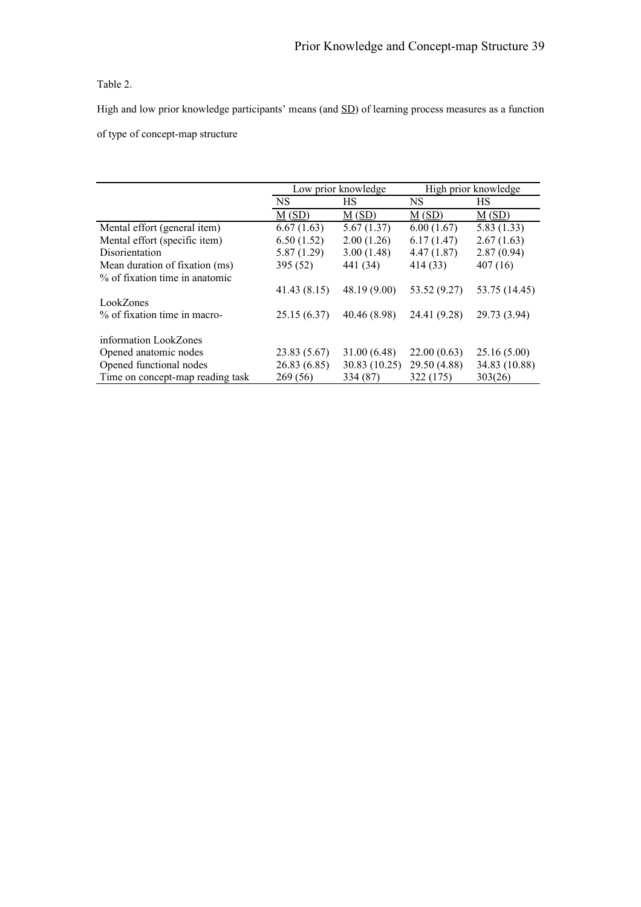# Table 2.

High and low prior knowledge participants' means (and  $SD$ ) of learning process measures as a function of type of concept-map structure

|                                  | Low prior knowledge  |                      | High prior knowledge |                      |
|----------------------------------|----------------------|----------------------|----------------------|----------------------|
|                                  | NS                   | НS                   | NS.                  | HS                   |
|                                  | $\underline{M}$ (SD) | $\underline{M}$ (SD) | $\underline{M}$ (SD) | $\underline{M}$ (SD) |
| Mental effort (general item)     | 6.67(1.63)           | 5.67(1.37)           | 6.00(1.67)           | 5.83(1.33)           |
| Mental effort (specific item)    | 6.50(1.52)           | 2.00(1.26)           | 6.17(1.47)           | 2.67(1.63)           |
| <b>Disorientation</b>            | 5.87(1.29)           | 3.00(1.48)           | 4.47(1.87)           | 2.87(0.94)           |
| Mean duration of fixation (ms)   | 395 (52)             | 441 (34)             | 414 (33)             | 407(16)              |
| % of fixation time in anatomic   |                      |                      |                      |                      |
|                                  | 41.43(8.15)          | 48.19 (9.00)         | 53.52 (9.27)         | 53.75 (14.45)        |
| LookZones                        |                      |                      |                      |                      |
| % of fixation time in macro-     | 25.15(6.37)          | 40.46 (8.98)         | 24.41 (9.28)         | 29.73 (3.94)         |
|                                  |                      |                      |                      |                      |
| information LookZones            |                      |                      |                      |                      |
| Opened anatomic nodes            | 23.83 (5.67)         | 31.00(6.48)          | 22.00(0.63)          | 25.16(5.00)          |
| Opened functional nodes          | 26.83(6.85)          | 30.83 (10.25)        | 29.50 (4.88)         | 34.83 (10.88)        |
| Time on concept-map reading task | 269 (56)             | 334 (87)             | 322 (175)            | 303(26)              |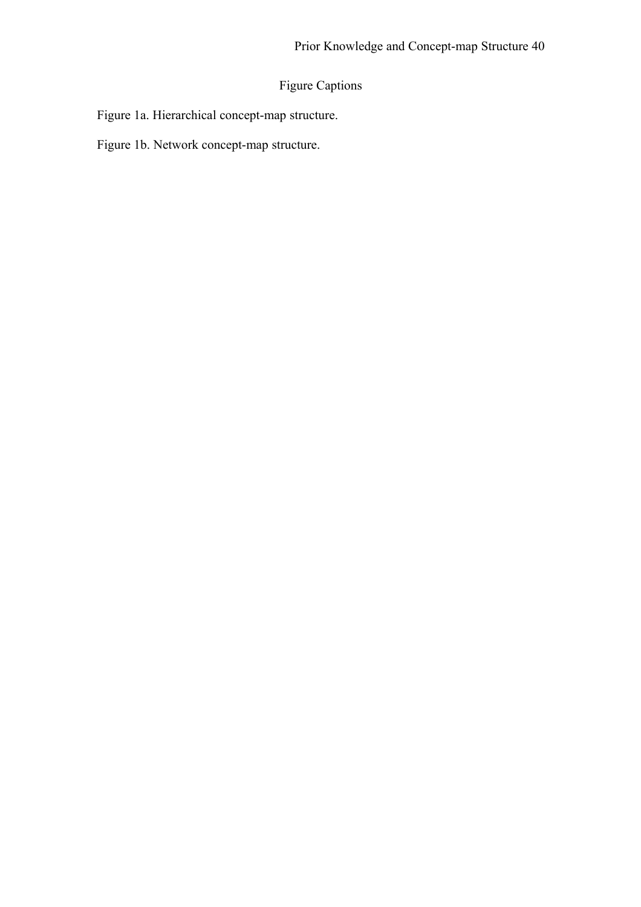# Figure Captions

Figure 1a. Hierarchical concept-map structure.

Figure 1b. Network concept-map structure.